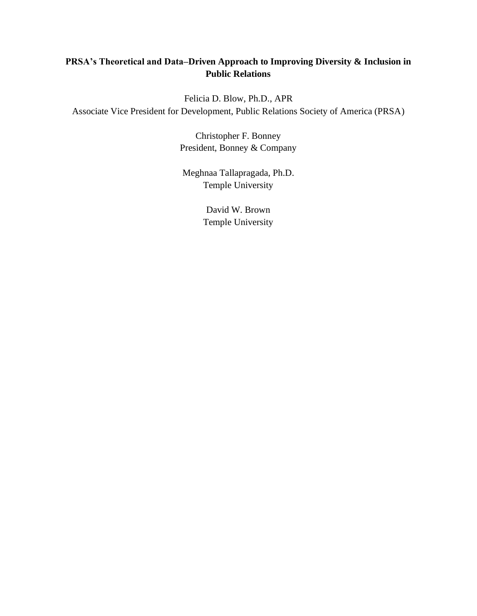## **PRSA's Theoretical and Data–Driven Approach to Improving Diversity & Inclusion in Public Relations**

Felicia D. Blow, Ph.D., APR Associate Vice President for Development, Public Relations Society of America (PRSA)

> Christopher F. Bonney President, Bonney & Company

Meghnaa Tallapragada, Ph.D. Temple University

> David W. Brown Temple University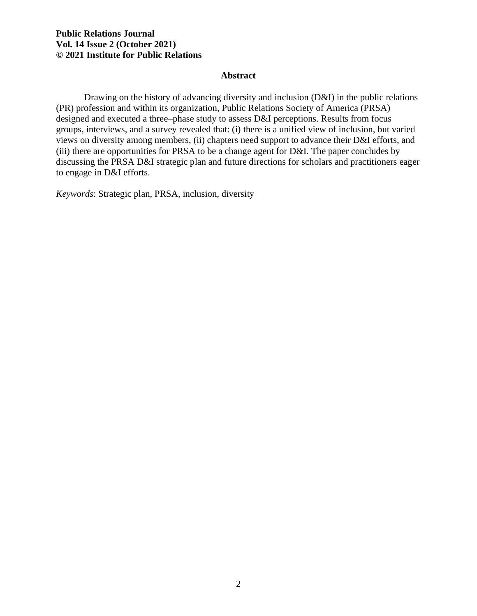#### **Abstract**

Drawing on the history of advancing diversity and inclusion (D&I) in the public relations (PR) profession and within its organization, Public Relations Society of America (PRSA) designed and executed a three–phase study to assess D&I perceptions. Results from focus groups, interviews, and a survey revealed that: (i) there is a unified view of inclusion, but varied views on diversity among members, (ii) chapters need support to advance their D&I efforts, and (iii) there are opportunities for PRSA to be a change agent for D&I. The paper concludes by discussing the PRSA D&I strategic plan and future directions for scholars and practitioners eager to engage in D&I efforts.

*Keywords*: Strategic plan, PRSA, inclusion, diversity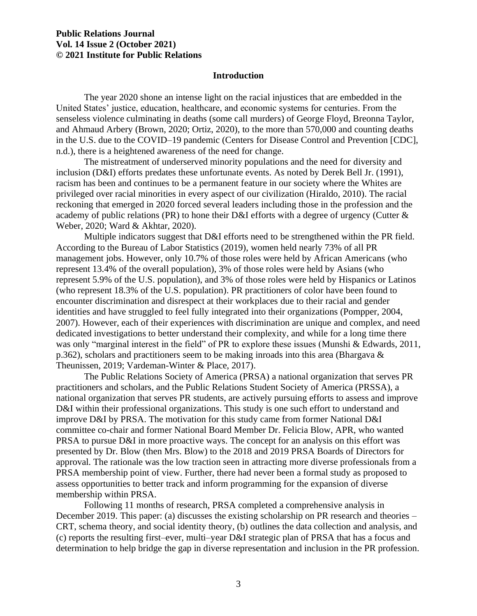#### **Introduction**

The year 2020 shone an intense light on the racial injustices that are embedded in the United States' justice, education, healthcare, and economic systems for centuries. From the senseless violence culminating in deaths (some call murders) of George Floyd, Breonna Taylor, and Ahmaud Arbery (Brown, 2020; Ortiz, 2020), to the more than 570,000 and counting deaths in the U.S. due to the COVID–19 pandemic (Centers for Disease Control and Prevention [CDC], n.d.), there is a heightened awareness of the need for change.

The mistreatment of underserved minority populations and the need for diversity and inclusion (D&I) efforts predates these unfortunate events. As noted by Derek Bell Jr. (1991), racism has been and continues to be a permanent feature in our society where the Whites are privileged over racial minorities in every aspect of our civilization (Hiraldo, 2010). The racial reckoning that emerged in 2020 forced several leaders including those in the profession and the academy of public relations (PR) to hone their D&I efforts with a degree of urgency (Cutter & Weber, 2020; Ward & Akhtar, 2020).

Multiple indicators suggest that D&I efforts need to be strengthened within the PR field. According to the Bureau of Labor Statistics (2019), women held nearly 73% of all PR management jobs. However, only 10.7% of those roles were held by African Americans (who represent 13.4% of the overall population), 3% of those roles were held by Asians (who represent 5.9% of the U.S. population), and 3% of those roles were held by Hispanics or Latinos (who represent 18.3% of the U.S. population). PR practitioners of color have been found to encounter discrimination and disrespect at their workplaces due to their racial and gender identities and have struggled to feel fully integrated into their organizations (Pompper, 2004, 2007). However, each of their experiences with discrimination are unique and complex, and need dedicated investigations to better understand their complexity, and while for a long time there was only "marginal interest in the field" of PR to explore these issues (Munshi & Edwards, 2011, p.362), scholars and practitioners seem to be making inroads into this area (Bhargava & Theunissen, 2019; Vardeman-Winter & Place, 2017).

The Public Relations Society of America (PRSA) a national organization that serves PR practitioners and scholars, and the Public Relations Student Society of America (PRSSA), a national organization that serves PR students, are actively pursuing efforts to assess and improve D&I within their professional organizations. This study is one such effort to understand and improve D&I by PRSA. The motivation for this study came from former National D&I committee co-chair and former National Board Member Dr. Felicia Blow, APR, who wanted PRSA to pursue D&I in more proactive ways. The concept for an analysis on this effort was presented by Dr. Blow (then Mrs. Blow) to the 2018 and 2019 PRSA Boards of Directors for approval. The rationale was the low traction seen in attracting more diverse professionals from a PRSA membership point of view. Further, there had never been a formal study as proposed to assess opportunities to better track and inform programming for the expansion of diverse membership within PRSA.

Following 11 months of research, PRSA completed a comprehensive analysis in December 2019. This paper: (a) discusses the existing scholarship on PR research and theories – CRT, schema theory, and social identity theory, (b) outlines the data collection and analysis, and (c) reports the resulting first–ever, multi–year D&I strategic plan of PRSA that has a focus and determination to help bridge the gap in diverse representation and inclusion in the PR profession.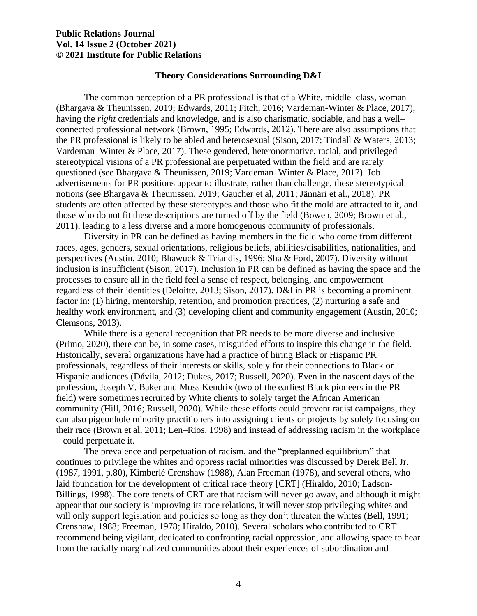#### **Theory Considerations Surrounding D&I**

The common perception of a PR professional is that of a White, middle–class, woman (Bhargava & Theunissen, 2019; Edwards, 2011; Fitch, 2016; Vardeman-Winter & Place, 2017), having the *right* credentials and knowledge, and is also charismatic, sociable, and has a well– connected professional network (Brown, 1995; Edwards, 2012). There are also assumptions that the PR professional is likely to be abled and heterosexual (Sison, 2017; Tindall & Waters, 2013; Vardeman–Winter & Place, 2017). These gendered, heteronormative, racial, and privileged stereotypical visions of a PR professional are perpetuated within the field and are rarely questioned (see Bhargava & Theunissen, 2019; Vardeman–Winter & Place, 2017). Job advertisements for PR positions appear to illustrate, rather than challenge, these stereotypical notions (see Bhargava & Theunissen, 2019; Gaucher et al, 2011; Jännäri et al., 2018). PR students are often affected by these stereotypes and those who fit the mold are attracted to it, and those who do not fit these descriptions are turned off by the field (Bowen, 2009; Brown et al., 2011), leading to a less diverse and a more homogenous community of professionals.

Diversity in PR can be defined as having members in the field who come from different races, ages, genders, sexual orientations, religious beliefs, abilities/disabilities, nationalities, and perspectives (Austin, 2010; Bhawuck & Triandis, 1996; Sha & Ford, 2007). Diversity without inclusion is insufficient (Sison, 2017). Inclusion in PR can be defined as having the space and the processes to ensure all in the field feel a sense of respect, belonging, and empowerment regardless of their identities (Deloitte, 2013; Sison, 2017). D&I in PR is becoming a prominent factor in: (1) hiring, mentorship, retention, and promotion practices, (2) nurturing a safe and healthy work environment, and (3) developing client and community engagement (Austin, 2010; Clemsons, 2013).

While there is a general recognition that PR needs to be more diverse and inclusive (Primo, 2020), there can be, in some cases, misguided efforts to inspire this change in the field. Historically, several organizations have had a practice of hiring Black or Hispanic PR professionals, regardless of their interests or skills, solely for their connections to Black or Hispanic audiences (Dávila, 2012; Dukes, 2017; Russell, 2020). Even in the nascent days of the profession, Joseph V. Baker and Moss Kendrix (two of the earliest Black pioneers in the PR field) were sometimes recruited by White clients to solely target the African American community (Hill, 2016; Russell, 2020). While these efforts could prevent racist campaigns, they can also pigeonhole minority practitioners into assigning clients or projects by solely focusing on their race (Brown et al, 2011; Len–Rios, 1998) and instead of addressing racism in the workplace – could perpetuate it.

The prevalence and perpetuation of racism, and the "preplanned equilibrium" that continues to privilege the whites and oppress racial minorities was discussed by Derek Bell Jr. (1987, 1991, p.80), Kimberlé Crenshaw (1988), Alan Freeman (1978), and several others, who laid foundation for the development of critical race theory [CRT] (Hiraldo, 2010; Ladson-Billings, 1998). The core tenets of CRT are that racism will never go away, and although it might appear that our society is improving its race relations, it will never stop privileging whites and will only support legislation and policies so long as they don't threaten the whites (Bell, 1991; Crenshaw, 1988; Freeman, 1978; Hiraldo, 2010). Several scholars who contributed to CRT recommend being vigilant, dedicated to confronting racial oppression, and allowing space to hear from the racially marginalized communities about their experiences of subordination and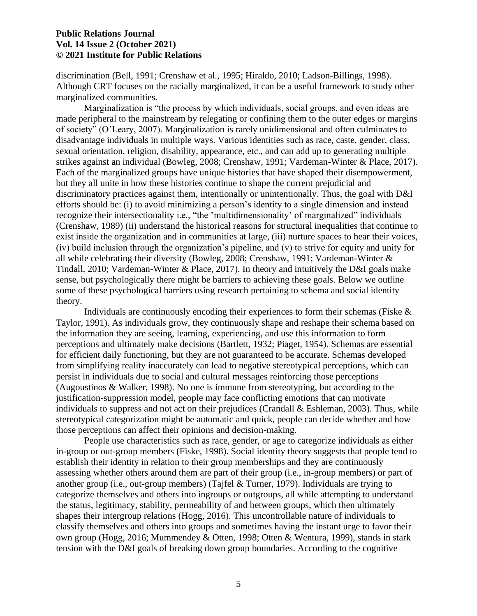discrimination (Bell, 1991; Crenshaw et al., 1995; Hiraldo, 2010; Ladson-Billings, 1998). Although CRT focuses on the racially marginalized, it can be a useful framework to study other marginalized communities.

Marginalization is "the process by which individuals, social groups, and even ideas are made peripheral to the mainstream by relegating or confining them to the outer edges or margins of society" (O'Leary, 2007). Marginalization is rarely unidimensional and often culminates to disadvantage individuals in multiple ways. Various identities such as race, caste, gender, class, sexual orientation, religion, disability, appearance, etc., and can add up to generating multiple strikes against an individual (Bowleg, 2008; Crenshaw, 1991; Vardeman-Winter & Place, 2017). Each of the marginalized groups have unique histories that have shaped their disempowerment, but they all unite in how these histories continue to shape the current prejudicial and discriminatory practices against them, intentionally or unintentionally. Thus, the goal with D&I efforts should be: (i) to avoid minimizing a person's identity to a single dimension and instead recognize their intersectionality i.e., "the 'multidimensionality' of marginalized" individuals (Crenshaw, 1989) (ii) understand the historical reasons for structural inequalities that continue to exist inside the organization and in communities at large, (iii) nurture spaces to hear their voices, (iv) build inclusion through the organization's pipeline, and (v) to strive for equity and unity for all while celebrating their diversity (Bowleg, 2008; Crenshaw, 1991; Vardeman-Winter & Tindall, 2010; Vardeman-Winter & Place, 2017). In theory and intuitively the D&I goals make sense, but psychologically there might be barriers to achieving these goals. Below we outline some of these psychological barriers using research pertaining to schema and social identity theory.

Individuals are continuously encoding their experiences to form their schemas (Fiske  $\&$ Taylor, 1991). As individuals grow, they continuously shape and reshape their schema based on the information they are seeing, learning, experiencing, and use this information to form perceptions and ultimately make decisions (Bartlett, 1932; Piaget, 1954). Schemas are essential for efficient daily functioning, but they are not guaranteed to be accurate. Schemas developed from simplifying reality inaccurately can lead to negative stereotypical perceptions, which can persist in individuals due to social and cultural messages reinforcing those perceptions (Augoustinos & Walker, 1998). No one is immune from stereotyping, but according to the justification-suppression model, people may face conflicting emotions that can motivate individuals to suppress and not act on their prejudices (Crandall & Eshleman, 2003). Thus, while stereotypical categorization might be automatic and quick, people can decide whether and how those perceptions can affect their opinions and decision-making.

People use characteristics such as race, gender, or age to categorize individuals as either in-group or out-group members (Fiske, 1998). Social identity theory suggests that people tend to establish their identity in relation to their group memberships and they are continuously assessing whether others around them are part of their group (i.e., in-group members) or part of another group (i.e., out-group members) (Tajfel & Turner, 1979). Individuals are trying to categorize themselves and others into ingroups or outgroups, all while attempting to understand the status, legitimacy, stability, permeability of and between groups, which then ultimately shapes their intergroup relations (Hogg, 2016). This uncontrollable nature of individuals to classify themselves and others into groups and sometimes having the instant urge to favor their own group (Hogg, 2016; Mummendey & Otten, 1998; Otten & Wentura, 1999), stands in stark tension with the D&I goals of breaking down group boundaries. According to the cognitive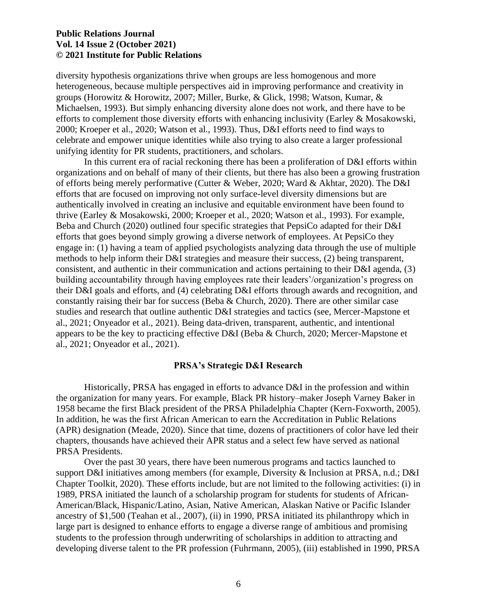diversity hypothesis organizations thrive when groups are less homogenous and more heterogeneous, because multiple perspectives aid in improving performance and creativity in groups (Horowitz & Horowitz, 2007; Miller, Burke, & Glick, 1998; Watson, Kumar, & Michaelsen, 1993). But simply enhancing diversity alone does not work, and there have to be efforts to complement those diversity efforts with enhancing inclusivity (Earley & Mosakowski, 2000; Kroeper et al., 2020; Watson et al., 1993). Thus, D&I efforts need to find ways to celebrate and empower unique identities while also trying to also create a larger professional unifying identity for PR students, practitioners, and scholars.

In this current era of racial reckoning there has been a proliferation of D&I efforts within organizations and on behalf of many of their clients, but there has also been a growing frustration of efforts being merely performative (Cutter & Weber, 2020; Ward & Akhtar, 2020). The D&I efforts that are focused on improving not only surface-level diversity dimensions but are authentically involved in creating an inclusive and equitable environment have been found to thrive (Earley & Mosakowski, 2000; Kroeper et al., 2020; Watson et al., 1993). For example, Beba and Church (2020) outlined four specific strategies that PepsiCo adapted for their D&I efforts that goes beyond simply growing a diverse network of employees. At PepsiCo they engage in: (1) having a team of applied psychologists analyzing data through the use of multiple methods to help inform their D&I strategies and measure their success, (2) being transparent, consistent, and authentic in their communication and actions pertaining to their D&I agenda, (3) building accountability through having employees rate their leaders'/organization's progress on their D&I goals and efforts, and (4) celebrating D&I efforts through awards and recognition, and constantly raising their bar for success (Beba  $\&$  Church, 2020). There are other similar case studies and research that outline authentic D&I strategies and tactics (see, Mercer-Mapstone et al., 2021; Onyeador et al., 2021). Being data-driven, transparent, authentic, and intentional appears to be the key to practicing effective D&I (Beba & Church, 2020; Mercer-Mapstone et al., 2021; Onyeador et al., 2021).

#### **PRSA's Strategic D&I Research**

Historically, PRSA has engaged in efforts to advance D&I in the profession and within the organization for many years. For example, Black PR history–maker Joseph Varney Baker in 1958 became the first Black president of the PRSA Philadelphia Chapter (Kern-Foxworth, 2005). In addition, he was the first African American to earn the Accreditation in Public Relations (APR) designation (Meade, 2020). Since that time, dozens of practitioners of color have led their chapters, thousands have achieved their APR status and a select few have served as national PRSA Presidents.

Over the past 30 years, there have been numerous programs and tactics launched to support D&I initiatives among members (for example, Diversity & Inclusion at PRSA, n.d.; D&I Chapter Toolkit, 2020). These efforts include, but are not limited to the following activities: (i) in 1989, PRSA initiated the launch of a scholarship program for students for students of African-American/Black, Hispanic/Latino, Asian, Native American, Alaskan Native or Pacific Islander ancestry of \$1,500 (Teahan et al., 2007), (ii) in 1990, PRSA initiated its philanthropy which in large part is designed to enhance efforts to engage a diverse range of ambitious and promising students to the profession through underwriting of scholarships in addition to attracting and developing diverse talent to the PR profession (Fuhrmann, 2005), (iii) established in 1990, PRSA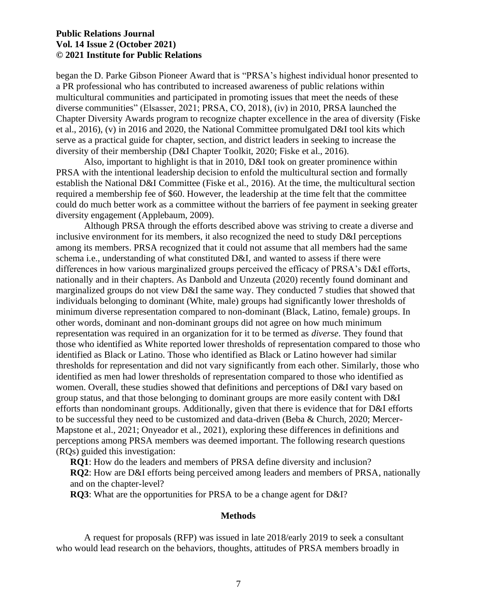began the D. Parke Gibson Pioneer Award that is "PRSA's highest individual honor presented to a PR professional who has contributed to increased awareness of public relations within multicultural communities and participated in promoting issues that meet the needs of these diverse communities" (Elsasser, 2021; PRSA, CO, 2018), (iv) in 2010, PRSA launched the Chapter Diversity Awards program to recognize chapter excellence in the area of diversity (Fiske et al., 2016), (v) in 2016 and 2020, the National Committee promulgated D&I tool kits which serve as a practical guide for chapter, section, and district leaders in seeking to increase the diversity of their membership (D&I Chapter Toolkit, 2020; Fiske et al., 2016).

Also, important to highlight is that in 2010, D&I took on greater prominence within PRSA with the intentional leadership decision to enfold the multicultural section and formally establish the National D&I Committee (Fiske et al., 2016). At the time, the multicultural section required a membership fee of \$60. However, the leadership at the time felt that the committee could do much better work as a committee without the barriers of fee payment in seeking greater diversity engagement (Applebaum, 2009).

Although PRSA through the efforts described above was striving to create a diverse and inclusive environment for its members, it also recognized the need to study D&I perceptions among its members. PRSA recognized that it could not assume that all members had the same schema i.e., understanding of what constituted D&I, and wanted to assess if there were differences in how various marginalized groups perceived the efficacy of PRSA's D&I efforts, nationally and in their chapters. As Danbold and Unzeuta (2020) recently found dominant and marginalized groups do not view D&I the same way. They conducted 7 studies that showed that individuals belonging to dominant (White, male) groups had significantly lower thresholds of minimum diverse representation compared to non-dominant (Black, Latino, female) groups. In other words, dominant and non-dominant groups did not agree on how much minimum representation was required in an organization for it to be termed as *diverse*. They found that those who identified as White reported lower thresholds of representation compared to those who identified as Black or Latino. Those who identified as Black or Latino however had similar thresholds for representation and did not vary significantly from each other. Similarly, those who identified as men had lower thresholds of representation compared to those who identified as women. Overall, these studies showed that definitions and perceptions of D&I vary based on group status, and that those belonging to dominant groups are more easily content with D&I efforts than nondominant groups. Additionally, given that there is evidence that for D&I efforts to be successful they need to be customized and data-driven (Beba & Church, 2020; Mercer-Mapstone et al., 2021; Onyeador et al., 2021), exploring these differences in definitions and perceptions among PRSA members was deemed important. The following research questions (RQs) guided this investigation:

**RQ1**: How do the leaders and members of PRSA define diversity and inclusion?

**RQ2**: How are D&I efforts being perceived among leaders and members of PRSA, nationally and on the chapter-level?

**RQ3**: What are the opportunities for PRSA to be a change agent for D&I?

#### **Methods**

A request for proposals (RFP) was issued in late 2018/early 2019 to seek a consultant who would lead research on the behaviors, thoughts, attitudes of PRSA members broadly in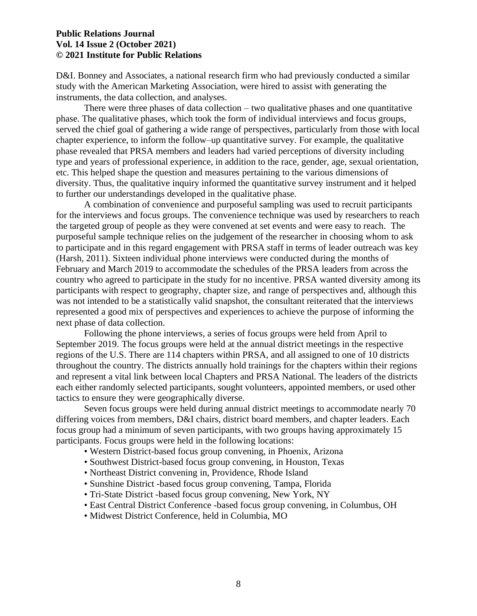D&I. Bonney and Associates, a national research firm who had previously conducted a similar study with the American Marketing Association, were hired to assist with generating the instruments, the data collection, and analyses.

There were three phases of data collection – two qualitative phases and one quantitative phase. The qualitative phases, which took the form of individual interviews and focus groups, served the chief goal of gathering a wide range of perspectives, particularly from those with local chapter experience, to inform the follow–up quantitative survey. For example, the qualitative phase revealed that PRSA members and leaders had varied perceptions of diversity including type and years of professional experience, in addition to the race, gender, age, sexual orientation, etc. This helped shape the question and measures pertaining to the various dimensions of diversity. Thus, the qualitative inquiry informed the quantitative survey instrument and it helped to further our understandings developed in the qualitative phase.

A combination of convenience and purposeful sampling was used to recruit participants for the interviews and focus groups. The convenience technique was used by researchers to reach the targeted group of people as they were convened at set events and were easy to reach. The purposeful sample technique relies on the judgement of the researcher in choosing whom to ask to participate and in this regard engagement with PRSA staff in terms of leader outreach was key (Harsh, 2011). Sixteen individual phone interviews were conducted during the months of February and March 2019 to accommodate the schedules of the PRSA leaders from across the country who agreed to participate in the study for no incentive. PRSA wanted diversity among its participants with respect to geography, chapter size, and range of perspectives and, although this was not intended to be a statistically valid snapshot, the consultant reiterated that the interviews represented a good mix of perspectives and experiences to achieve the purpose of informing the next phase of data collection.

Following the phone interviews, a series of focus groups were held from April to September 2019. The focus groups were held at the annual district meetings in the respective regions of the U.S. There are 114 chapters within PRSA, and all assigned to one of 10 districts throughout the country. The districts annually hold trainings for the chapters within their regions and represent a vital link between local Chapters and PRSA National. The leaders of the districts each either randomly selected participants, sought volunteers, appointed members, or used other tactics to ensure they were geographically diverse.

Seven focus groups were held during annual district meetings to accommodate nearly 70 differing voices from members, D&I chairs, district board members, and chapter leaders. Each focus group had a minimum of seven participants, with two groups having approximately 15 participants. Focus groups were held in the following locations:

- Western District-based focus group convening, in Phoenix, Arizona
- Southwest District-based focus group convening, in Houston, Texas
- Northeast District convening in, Providence, Rhode Island
- Sunshine District -based focus group convening, Tampa, Florida
- Tri-State District -based focus group convening, New York, NY
- East Central District Conference -based focus group convening, in Columbus, OH
- Midwest District Conference, held in Columbia, MO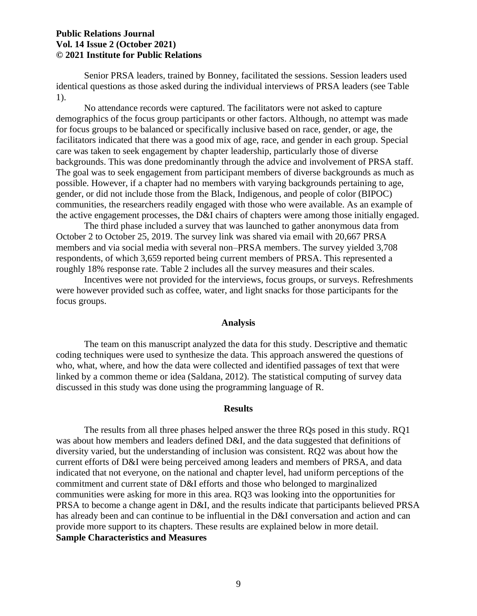Senior PRSA leaders, trained by Bonney, facilitated the sessions. Session leaders used identical questions as those asked during the individual interviews of PRSA leaders (see Table 1).

No attendance records were captured. The facilitators were not asked to capture demographics of the focus group participants or other factors. Although, no attempt was made for focus groups to be balanced or specifically inclusive based on race, gender, or age, the facilitators indicated that there was a good mix of age, race, and gender in each group. Special care was taken to seek engagement by chapter leadership, particularly those of diverse backgrounds. This was done predominantly through the advice and involvement of PRSA staff. The goal was to seek engagement from participant members of diverse backgrounds as much as possible. However, if a chapter had no members with varying backgrounds pertaining to age, gender, or did not include those from the Black, Indigenous, and people of color (BIPOC) communities, the researchers readily engaged with those who were available. As an example of the active engagement processes, the D&I chairs of chapters were among those initially engaged.

The third phase included a survey that was launched to gather anonymous data from October 2 to October 25, 2019. The survey link was shared via email with 20,667 PRSA members and via social media with several non–PRSA members. The survey yielded 3,708 respondents, of which 3,659 reported being current members of PRSA. This represented a roughly 18% response rate. Table 2 includes all the survey measures and their scales.

Incentives were not provided for the interviews, focus groups, or surveys. Refreshments were however provided such as coffee, water, and light snacks for those participants for the focus groups.

#### **Analysis**

The team on this manuscript analyzed the data for this study. Descriptive and thematic coding techniques were used to synthesize the data. This approach answered the questions of who, what, where, and how the data were collected and identified passages of text that were linked by a common theme or idea (Saldana, 2012). The statistical computing of survey data discussed in this study was done using the programming language of R.

#### **Results**

The results from all three phases helped answer the three RQs posed in this study. RQ1 was about how members and leaders defined D&I, and the data suggested that definitions of diversity varied, but the understanding of inclusion was consistent. RQ2 was about how the current efforts of D&I were being perceived among leaders and members of PRSA, and data indicated that not everyone, on the national and chapter level, had uniform perceptions of the commitment and current state of D&I efforts and those who belonged to marginalized communities were asking for more in this area. RQ3 was looking into the opportunities for PRSA to become a change agent in D&I, and the results indicate that participants believed PRSA has already been and can continue to be influential in the D&I conversation and action and can provide more support to its chapters. These results are explained below in more detail. **Sample Characteristics and Measures**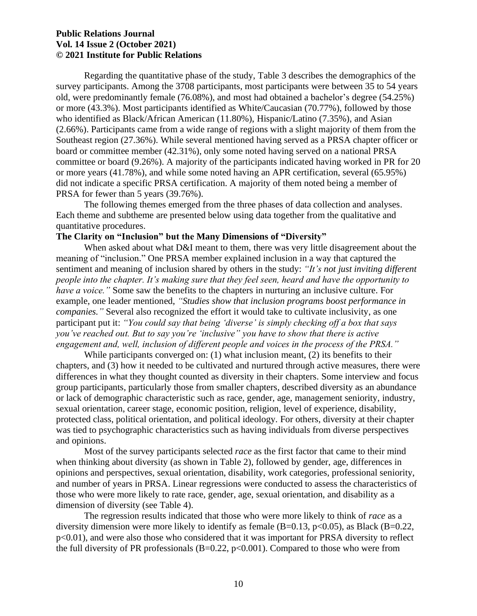Regarding the quantitative phase of the study, Table 3 describes the demographics of the survey participants. Among the 3708 participants, most participants were between 35 to 54 years old, were predominantly female (76.08%), and most had obtained a bachelor's degree (54.25%) or more (43.3%). Most participants identified as White/Caucasian (70.77%), followed by those who identified as Black/African American (11.80%), Hispanic/Latino (7.35%), and Asian (2.66%). Participants came from a wide range of regions with a slight majority of them from the Southeast region (27.36%). While several mentioned having served as a PRSA chapter officer or board or committee member (42.31%), only some noted having served on a national PRSA committee or board (9.26%). A majority of the participants indicated having worked in PR for 20 or more years (41.78%), and while some noted having an APR certification, several (65.95%) did not indicate a specific PRSA certification. A majority of them noted being a member of PRSA for fewer than 5 years (39.76%).

The following themes emerged from the three phases of data collection and analyses. Each theme and subtheme are presented below using data together from the qualitative and quantitative procedures.

#### **The Clarity on "Inclusion" but the Many Dimensions of "Diversity"**

When asked about what D&I meant to them, there was very little disagreement about the meaning of "inclusion." One PRSA member explained inclusion in a way that captured the sentiment and meaning of inclusion shared by others in the study: *"It's not just inviting different people into the chapter. It's making sure that they feel seen, heard and have the opportunity to have a voice."* Some saw the benefits to the chapters in nurturing an inclusive culture. For example, one leader mentioned, *"Studies show that inclusion programs boost performance in companies."* Several also recognized the effort it would take to cultivate inclusivity, as one participant put it: *"You could say that being 'diverse' is simply checking off a box that says you've reached out. But to say you're 'inclusive" you have to show that there is active engagement and, well, inclusion of different people and voices in the process of the PRSA."*

While participants converged on: (1) what inclusion meant, (2) its benefits to their chapters, and (3) how it needed to be cultivated and nurtured through active measures, there were differences in what they thought counted as diversity in their chapters. Some interview and focus group participants, particularly those from smaller chapters, described diversity as an abundance or lack of demographic characteristic such as race, gender, age, management seniority, industry, sexual orientation, career stage, economic position, religion, level of experience, disability, protected class, political orientation, and political ideology. For others, diversity at their chapter was tied to psychographic characteristics such as having individuals from diverse perspectives and opinions.

Most of the survey participants selected *race* as the first factor that came to their mind when thinking about diversity (as shown in Table 2), followed by gender, age, differences in opinions and perspectives, sexual orientation, disability, work categories, professional seniority, and number of years in PRSA. Linear regressions were conducted to assess the characteristics of those who were more likely to rate race, gender, age, sexual orientation, and disability as a dimension of diversity (see Table 4).

The regression results indicated that those who were more likely to think of *race* as a diversity dimension were more likely to identify as female  $(B=0.13, p<0.05)$ , as Black  $(B=0.22, p<0.05)$ p<0.01), and were also those who considered that it was important for PRSA diversity to reflect the full diversity of PR professionals  $(B=0.22, p<0.001)$ . Compared to those who were from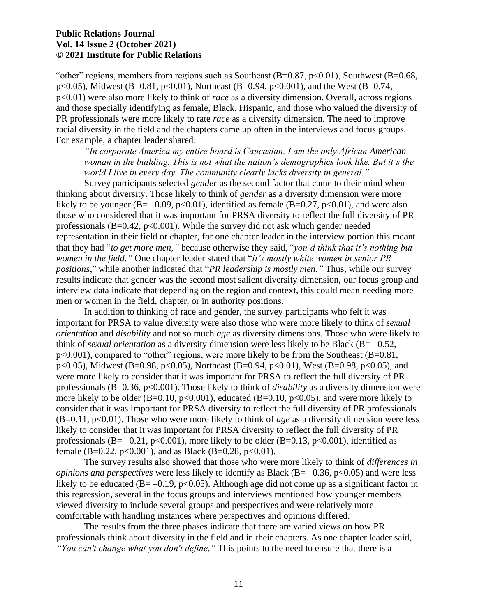"other" regions, members from regions such as Southeast  $(B=0.87, p<0.01)$ , Southwest  $(B=0.68, p<0.01)$ p<0.05), Midwest (B=0.81, p<0.01), Northeast (B=0.94, p<0.001), and the West (B=0.74, p<0.01) were also more likely to think of *race* as a diversity dimension. Overall, across regions and those specially identifying as female, Black, Hispanic, and those who valued the diversity of PR professionals were more likely to rate *race* as a diversity dimension. The need to improve racial diversity in the field and the chapters came up often in the interviews and focus groups. For example, a chapter leader shared:

*"In corporate America my entire board is Caucasian. I am the only African American woman in the building. This is not what the nation's demographics look like. But it's the world I live in every day. The community clearly lacks diversity in general."*

Survey participants selected *gender* as the second factor that came to their mind when thinking about diversity. Those likely to think of *gender* as a diversity dimension were more likely to be younger ( $B = -0.09$ ,  $p < 0.01$ ), identified as female ( $B = 0.27$ ,  $p < 0.01$ ), and were also those who considered that it was important for PRSA diversity to reflect the full diversity of PR professionals  $(B=0.42, p<0.001)$ . While the survey did not ask which gender needed representation in their field or chapter, for one chapter leader in the interview portion this meant that they had "*to get more men,"* because otherwise they said, "*you'd think that it's nothing but women in the field."* One chapter leader stated that "*it's mostly white women in senior PR positions*," while another indicated that "*PR leadership is mostly men."* Thus, while our survey results indicate that gender was the second most salient diversity dimension, our focus group and interview data indicate that depending on the region and context, this could mean needing more men or women in the field, chapter, or in authority positions.

In addition to thinking of race and gender, the survey participants who felt it was important for PRSA to value diversity were also those who were more likely to think of *sexual orientation* and *disability* and not so much *age* as diversity dimensions. Those who were likely to think of *sexual orientation* as a diversity dimension were less likely to be Black (B= –0.52, p<0.001), compared to "other" regions, were more likely to be from the Southeast (B=0.81, p<0.05), Midwest (B=0.98, p<0.05), Northeast (B=0.94, p<0.01), West (B=0.98, p<0.05), and were more likely to consider that it was important for PRSA to reflect the full diversity of PR professionals (B=0.36, p<0.001). Those likely to think of *disability* as a diversity dimension were more likely to be older (B=0.10, p<0.001), educated (B=0.10, p<0.05), and were more likely to consider that it was important for PRSA diversity to reflect the full diversity of PR professionals (B=0.11, p<0.01). Those who were more likely to think of *age* as a diversity dimension were less likely to consider that it was important for PRSA diversity to reflect the full diversity of PR professionals (B=  $-0.21$ , p<0.001), more likely to be older (B=0.13, p<0.001), identified as female (B=0.22, p<0.001), and as Black (B=0.28, p<0.01).

The survey results also showed that those who were more likely to think of *differences in opinions and perspectives* were less likely to identify as Black (B= –0.36, p<0.05) and were less likely to be educated ( $B = -0.19$ , p<0.05). Although age did not come up as a significant factor in this regression, several in the focus groups and interviews mentioned how younger members viewed diversity to include several groups and perspectives and were relatively more comfortable with handling instances where perspectives and opinions differed.

The results from the three phases indicate that there are varied views on how PR professionals think about diversity in the field and in their chapters. As one chapter leader said, *"You can't change what you don't define."* This points to the need to ensure that there is a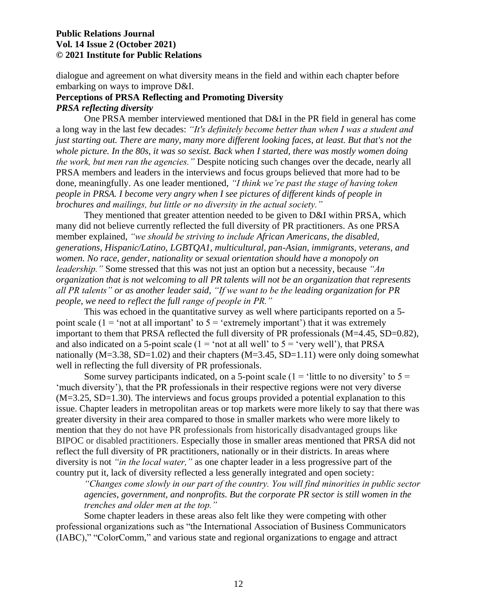dialogue and agreement on what diversity means in the field and within each chapter before embarking on ways to improve D&I.

#### **Perceptions of PRSA Reflecting and Promoting Diversity** *PRSA reflecting diversity*

One PRSA member interviewed mentioned that D&I in the PR field in general has come a long way in the last few decades: *"It's definitely become better than when I was a student and just starting out. There are many, many more different looking faces, at least. But that's not the whole picture. In the 80s, it was so sexist. Back when I started, there was mostly women doing the work, but men ran the agencies."* Despite noticing such changes over the decade, nearly all PRSA members and leaders in the interviews and focus groups believed that more had to be done, meaningfully. As one leader mentioned, *"I think we're past the stage of having token people in PRSA. I become very angry when I see pictures of different kinds of people in brochures and mailings, but little or no diversity in the actual society."*

They mentioned that greater attention needed to be given to D&I within PRSA, which many did not believe currently reflected the full diversity of PR practitioners. As one PRSA member explained, *"we should be striving to include African Americans, the disabled, generations, Hispanic/Latino, LGBTQA1, multicultural, pan-Asian, immigrants, veterans, and women. No race, gender, nationality or sexual orientation should have a monopoly on leadership."* Some stressed that this was not just an option but a necessity, because *"An organization that is not welcoming to all PR talents will not be an organization that represents all PR talents" or as another leader said, "If we want to be the leading organization for PR people, we need to reflect the full range of people in PR."*

This was echoed in the quantitative survey as well where participants reported on a 5 point scale ( $1 = \text{`not at all important' to } 5 = \text{`extremely important'})$  that it was extremely important to them that PRSA reflected the full diversity of PR professionals (M=4.45, SD=0.82), and also indicated on a 5-point scale ( $1 = \text{`not at all well' to } 5 = \text{`very well'}$ ), that PRSA nationally ( $M=3.38$ ,  $SD=1.02$ ) and their chapters ( $M=3.45$ ,  $SD=1.11$ ) were only doing somewhat well in reflecting the full diversity of PR professionals.

Some survey participants indicated, on a 5-point scale (1 = 'little to no diversity' to  $5 =$ 'much diversity'), that the PR professionals in their respective regions were not very diverse (M=3.25, SD=1.30). The interviews and focus groups provided a potential explanation to this issue. Chapter leaders in metropolitan areas or top markets were more likely to say that there was greater diversity in their area compared to those in smaller markets who were more likely to mention that they do not have PR professionals from historically disadvantaged groups like BIPOC or disabled practitioners. Especially those in smaller areas mentioned that PRSA did not reflect the full diversity of PR practitioners, nationally or in their districts. In areas where diversity is not *"in the local water,"* as one chapter leader in a less progressive part of the country put it, lack of diversity reflected a less generally integrated and open society:

*"Changes come slowly in our part of the country. You will find minorities in public sector agencies, government, and nonprofits. But the corporate PR sector is still women in the trenches and older men at the top."*

Some chapter leaders in these areas also felt like they were competing with other professional organizations such as "the International Association of Business Communicators (IABC)," "ColorComm," and various state and regional organizations to engage and attract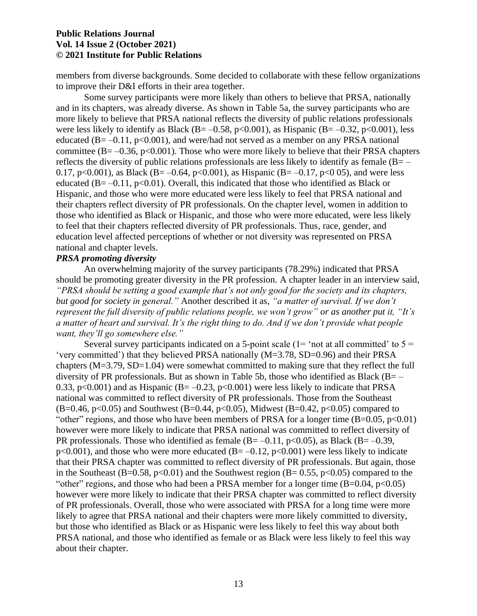members from diverse backgrounds. Some decided to collaborate with these fellow organizations to improve their D&I efforts in their area together.

Some survey participants were more likely than others to believe that PRSA, nationally and in its chapters, was already diverse. As shown in Table 5a, the survey participants who are more likely to believe that PRSA national reflects the diversity of public relations professionals were less likely to identify as Black (B= $-0.58$ , p<0.001), as Hispanic (B= $-0.32$ , p<0.001), less educated ( $B = -0.11$ ,  $p < 0.001$ ), and were/had not served as a member on any PRSA national committee ( $B = -0.36$ ,  $p < 0.001$ ). Those who were more likely to believe that their PRSA chapters reflects the diversity of public relations professionals are less likely to identify as female  $(B=-\n$ 0.17, p<0.001), as Black (B= -0.64, p<0.001), as Hispanic (B= -0.17, p<0.05), and were less educated  $(B=-0.11, p<0.01)$ . Overall, this indicated that those who identified as Black or Hispanic, and those who were more educated were less likely to feel that PRSA national and their chapters reflect diversity of PR professionals. On the chapter level, women in addition to those who identified as Black or Hispanic, and those who were more educated, were less likely to feel that their chapters reflected diversity of PR professionals. Thus, race, gender, and education level affected perceptions of whether or not diversity was represented on PRSA national and chapter levels.

#### *PRSA promoting diversity*

An overwhelming majority of the survey participants (78.29%) indicated that PRSA should be promoting greater diversity in the PR profession. A chapter leader in an interview said, *"PRSA should be setting a good example that's not only good for the society and its chapters, but good for society in general."* Another described it as, *"a matter of survival. If we don't represent the full diversity of public relations people, we won't grow" or as another put it, "It's a matter of heart and survival. It's the right thing to do. And if we don't provide what people want, they'll go somewhere else."*

Several survey participants indicated on a 5-point scale ( $1=$  'not at all committed' to  $5=$ 'very committed') that they believed PRSA nationally (M=3.78, SD=0.96) and their PRSA chapters (M=3.79, SD=1.04) were somewhat committed to making sure that they reflect the full diversity of PR professionals. But as shown in Table 5b, those who identified as Black (B= $-$ 0.33,  $p<0.001$ ) and as Hispanic (B= -0.23,  $p<0.001$ ) were less likely to indicate that PRSA national was committed to reflect diversity of PR professionals. Those from the Southeast  $(B=0.46, p<0.05)$  and Southwest (B=0.44, p<0.05), Midwest (B=0.42, p<0.05) compared to "other" regions, and those who have been members of PRSA for a longer time  $(B=0.05, p<0.01)$ however were more likely to indicate that PRSA national was committed to reflect diversity of PR professionals. Those who identified as female  $(B=-0.11, p<0.05)$ , as Black  $(B=-0.39, p<sub>0.05</sub>)$  $p<0.001$ ), and those who were more educated (B= -0.12,  $p<0.001$ ) were less likely to indicate that their PRSA chapter was committed to reflect diversity of PR professionals. But again, those in the Southeast (B=0.58, p<0.01) and the Southwest region (B= 0.55, p<0.05) compared to the "other" regions, and those who had been a PRSA member for a longer time  $(B=0.04, p<0.05)$ however were more likely to indicate that their PRSA chapter was committed to reflect diversity of PR professionals. Overall, those who were associated with PRSA for a long time were more likely to agree that PRSA national and their chapters were more likely committed to diversity, but those who identified as Black or as Hispanic were less likely to feel this way about both PRSA national, and those who identified as female or as Black were less likely to feel this way about their chapter.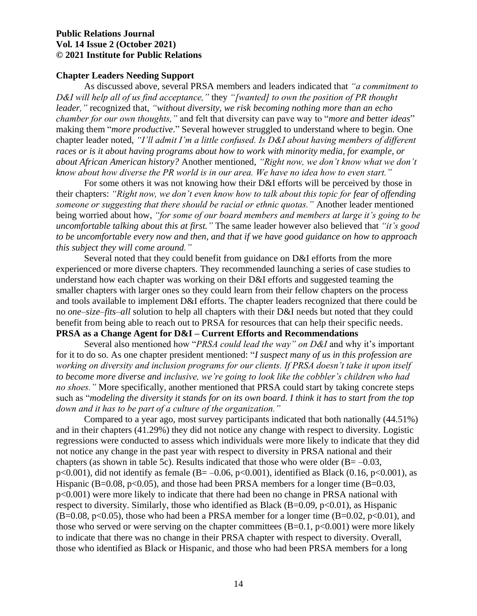#### **Chapter Leaders Needing Support**

As discussed above, several PRSA members and leaders indicated that *"a commitment to D&I will help all of us find acceptance,"* they *"[wanted] to own the position of PR thought leader,"* recognized that, *"without diversity, we risk becoming nothing more than an echo chamber for our own thoughts,"* and felt that diversity can pave way to "*more and better ideas*" making them "*more productive*." Several however struggled to understand where to begin. One chapter leader noted, *"I'll admit I'm a little confused. Is D&I about having members of different races or is it about having programs about how to work with minority media, for example, or about African American history?* Another mentioned, *"Right now, we don't know what we don't know about how diverse the PR world is in our area. We have no idea how to even start."*

For some others it was not knowing how their D&I efforts will be perceived by those in their chapters: *"Right now, we don't even know how to talk about this topic for fear of offending someone or suggesting that there should be racial or ethnic quotas."* Another leader mentioned being worried about how, *"for some of our board members and members at large it's going to be uncomfortable talking about this at first."* The same leader however also believed that *"it's good to be uncomfortable every now and then, and that if we have good guidance on how to approach this subject they will come around."*

Several noted that they could benefit from guidance on D&I efforts from the more experienced or more diverse chapters. They recommended launching a series of case studies to understand how each chapter was working on their D&I efforts and suggested teaming the smaller chapters with larger ones so they could learn from their fellow chapters on the process and tools available to implement D&I efforts. The chapter leaders recognized that there could be no *one*–*size*–*fits*–*all* solution to help all chapters with their D&I needs but noted that they could benefit from being able to reach out to PRSA for resources that can help their specific needs. **PRSA as a Change Agent for D&I – Current Efforts and Recommendations**

Several also mentioned how "*PRSA could lead the way" on D&I* and why it's important for it to do so*.* As one chapter president mentioned: "*I suspect many of us in this profession are working on diversity and inclusion programs for our clients. If PRSA doesn't take it upon itself to become more diverse and inclusive, we're going to look like the cobbler's children who had no shoes."* More specifically, another mentioned that PRSA could start by taking concrete steps such as "*modeling the diversity it stands for on its own board. I think it has to start from the top down and it has to be part of a culture of the organization."*

Compared to a year ago, most survey participants indicated that both nationally (44.51%) and in their chapters (41.29%) they did not notice any change with respect to diversity. Logistic regressions were conducted to assess which individuals were more likely to indicate that they did not notice any change in the past year with respect to diversity in PRSA national and their chapters (as shown in table 5c). Results indicated that those who were older  $(B = -0.03,$ p<0.001), did not identify as female (B= $-0.06$ , p<0.001), identified as Black (0.16, p<0.001), as Hispanic (B=0.08, p<0.05), and those had been PRSA members for a longer time (B=0.03, p<0.001) were more likely to indicate that there had been no change in PRSA national with respect to diversity. Similarly, those who identified as Black (B=0.09,  $p<0.01$ ), as Hispanic  $(B=0.08, p<0.05)$ , those who had been a PRSA member for a longer time  $(B=0.02, p<0.01)$ , and those who served or were serving on the chapter committees  $(B=0.1, p<0.001)$  were more likely to indicate that there was no change in their PRSA chapter with respect to diversity. Overall, those who identified as Black or Hispanic, and those who had been PRSA members for a long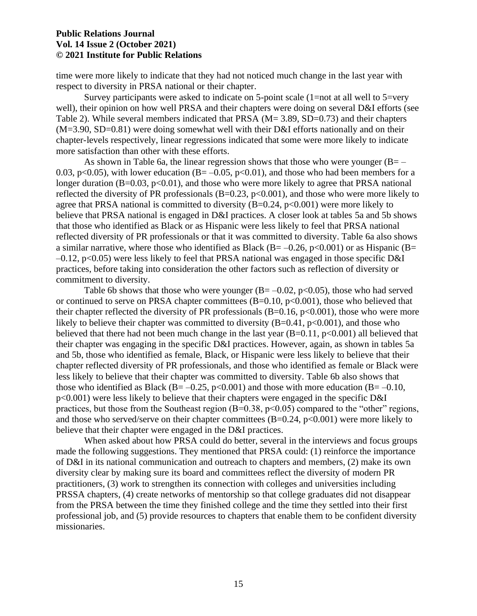time were more likely to indicate that they had not noticed much change in the last year with respect to diversity in PRSA national or their chapter.

Survey participants were asked to indicate on 5-point scale (1=not at all well to 5=very well), their opinion on how well PRSA and their chapters were doing on several D&I efforts (see Table 2). While several members indicated that PRSA (M = 3.89, SD = 0.73) and their chapters  $(M=3.90, SD=0.81)$  were doing somewhat well with their D&I efforts nationally and on their chapter-levels respectively, linear regressions indicated that some were more likely to indicate more satisfaction than other with these efforts.

As shown in Table 6a, the linear regression shows that those who were younger  $(B=-\nabla^2 f^2 + \nabla^2 f^2)$ 0.03, p<0.05), with lower education ( $B = -0.05$ , p<0.01), and those who had been members for a longer duration  $(B=0.03, p<0.01)$ , and those who were more likely to agree that PRSA national reflected the diversity of PR professionals  $(B=0.23, p<0.001)$ , and those who were more likely to agree that PRSA national is committed to diversity  $(B=0.24, p<0.001)$  were more likely to believe that PRSA national is engaged in D&I practices. A closer look at tables 5a and 5b shows that those who identified as Black or as Hispanic were less likely to feel that PRSA national reflected diversity of PR professionals or that it was committed to diversity. Table 6a also shows a similar narrative, where those who identified as Black (B= $-0.26$ , p<0.001) or as Hispanic (B=  $-0.12$ , p<0.05) were less likely to feel that PRSA national was engaged in those specific D&I practices, before taking into consideration the other factors such as reflection of diversity or commitment to diversity.

Table 6b shows that those who were younger  $(B = -0.02, p < 0.05)$ , those who had served or continued to serve on PRSA chapter committees  $(B=0.10, p<0.001)$ , those who believed that their chapter reflected the diversity of PR professionals  $(B=0.16, p<0.001)$ , those who were more likely to believe their chapter was committed to diversity  $(B=0.41, p<0.001)$ , and those who believed that there had not been much change in the last year  $(B=0.11, p<0.001)$  all believed that their chapter was engaging in the specific D&I practices. However, again, as shown in tables 5a and 5b, those who identified as female, Black, or Hispanic were less likely to believe that their chapter reflected diversity of PR professionals, and those who identified as female or Black were less likely to believe that their chapter was committed to diversity. Table 6b also shows that those who identified as Black (B= $-0.25$ , p<0.001) and those with more education (B= $-0.10$ , p<0.001) were less likely to believe that their chapters were engaged in the specific D&I practices, but those from the Southeast region  $(B=0.38, p<0.05)$  compared to the "other" regions, and those who served/serve on their chapter committees  $(B=0.24, p<0.001)$  were more likely to believe that their chapter were engaged in the D&I practices.

When asked about how PRSA could do better, several in the interviews and focus groups made the following suggestions. They mentioned that PRSA could: (1) reinforce the importance of D&I in its national communication and outreach to chapters and members, (2) make its own diversity clear by making sure its board and committees reflect the diversity of modern PR practitioners, (3) work to strengthen its connection with colleges and universities including PRSSA chapters, (4) create networks of mentorship so that college graduates did not disappear from the PRSA between the time they finished college and the time they settled into their first professional job, and (5) provide resources to chapters that enable them to be confident diversity missionaries.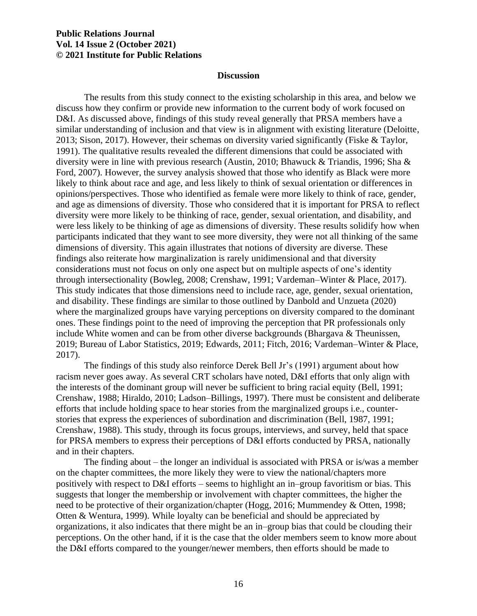#### **Discussion**

The results from this study connect to the existing scholarship in this area, and below we discuss how they confirm or provide new information to the current body of work focused on D&I. As discussed above, findings of this study reveal generally that PRSA members have a similar understanding of inclusion and that view is in alignment with existing literature (Deloitte, 2013; Sison, 2017). However, their schemas on diversity varied significantly (Fiske & Taylor, 1991). The qualitative results revealed the different dimensions that could be associated with diversity were in line with previous research (Austin, 2010; Bhawuck & Triandis, 1996; Sha & Ford, 2007). However, the survey analysis showed that those who identify as Black were more likely to think about race and age, and less likely to think of sexual orientation or differences in opinions/perspectives. Those who identified as female were more likely to think of race, gender, and age as dimensions of diversity. Those who considered that it is important for PRSA to reflect diversity were more likely to be thinking of race, gender, sexual orientation, and disability, and were less likely to be thinking of age as dimensions of diversity. These results solidify how when participants indicated that they want to see more diversity, they were not all thinking of the same dimensions of diversity. This again illustrates that notions of diversity are diverse. These findings also reiterate how marginalization is rarely unidimensional and that diversity considerations must not focus on only one aspect but on multiple aspects of one's identity through intersectionality (Bowleg, 2008; Crenshaw, 1991; Vardeman–Winter & Place, 2017). This study indicates that those dimensions need to include race, age, gender, sexual orientation, and disability. These findings are similar to those outlined by Danbold and Unzueta (2020) where the marginalized groups have varying perceptions on diversity compared to the dominant ones. These findings point to the need of improving the perception that PR professionals only include White women and can be from other diverse backgrounds (Bhargava & Theunissen, 2019; Bureau of Labor Statistics, 2019; Edwards, 2011; Fitch, 2016; Vardeman–Winter & Place, 2017).

The findings of this study also reinforce Derek Bell Jr's (1991) argument about how racism never goes away. As several CRT scholars have noted, D&I efforts that only align with the interests of the dominant group will never be sufficient to bring racial equity (Bell, 1991; Crenshaw, 1988; Hiraldo, 2010; Ladson–Billings, 1997). There must be consistent and deliberate efforts that include holding space to hear stories from the marginalized groups i.e., counterstories that express the experiences of subordination and discrimination (Bell, 1987, 1991; Crenshaw, 1988). This study, through its focus groups, interviews, and survey, held that space for PRSA members to express their perceptions of D&I efforts conducted by PRSA, nationally and in their chapters.

The finding about – the longer an individual is associated with PRSA or is/was a member on the chapter committees, the more likely they were to view the national/chapters more positively with respect to D&I efforts – seems to highlight an in–group favoritism or bias. This suggests that longer the membership or involvement with chapter committees, the higher the need to be protective of their organization/chapter (Hogg, 2016; Mummendey & Otten, 1998; Otten & Wentura, 1999). While loyalty can be beneficial and should be appreciated by organizations, it also indicates that there might be an in–group bias that could be clouding their perceptions. On the other hand, if it is the case that the older members seem to know more about the D&I efforts compared to the younger/newer members, then efforts should be made to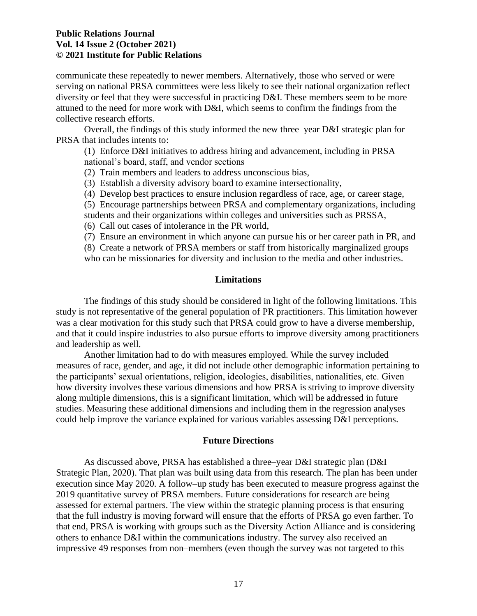communicate these repeatedly to newer members. Alternatively, those who served or were serving on national PRSA committees were less likely to see their national organization reflect diversity or feel that they were successful in practicing D&I. These members seem to be more attuned to the need for more work with D&I, which seems to confirm the findings from the collective research efforts.

Overall, the findings of this study informed the new three–year D&I strategic plan for PRSA that includes intents to:

(1) Enforce D&I initiatives to address hiring and advancement, including in PRSA national's board, staff, and vendor sections

- (2) Train members and leaders to address unconscious bias,
- (3) Establish a diversity advisory board to examine intersectionality,
- (4) Develop best practices to ensure inclusion regardless of race, age, or career stage,
- (5) Encourage partnerships between PRSA and complementary organizations, including
- students and their organizations within colleges and universities such as PRSSA,
- (6) Call out cases of intolerance in the PR world,
- (7) Ensure an environment in which anyone can pursue his or her career path in PR, and

(8) Create a network of PRSA members or staff from historically marginalized groups

who can be missionaries for diversity and inclusion to the media and other industries.

#### **Limitations**

The findings of this study should be considered in light of the following limitations. This study is not representative of the general population of PR practitioners. This limitation however was a clear motivation for this study such that PRSA could grow to have a diverse membership, and that it could inspire industries to also pursue efforts to improve diversity among practitioners and leadership as well.

Another limitation had to do with measures employed. While the survey included measures of race, gender, and age, it did not include other demographic information pertaining to the participants' sexual orientations, religion, ideologies, disabilities, nationalities, etc. Given how diversity involves these various dimensions and how PRSA is striving to improve diversity along multiple dimensions, this is a significant limitation, which will be addressed in future studies. Measuring these additional dimensions and including them in the regression analyses could help improve the variance explained for various variables assessing D&I perceptions.

#### **Future Directions**

As discussed above, PRSA has established a three–year D&I strategic plan (D&I Strategic Plan, 2020). That plan was built using data from this research. The plan has been under execution since May 2020. A follow–up study has been executed to measure progress against the 2019 quantitative survey of PRSA members. Future considerations for research are being assessed for external partners. The view within the strategic planning process is that ensuring that the full industry is moving forward will ensure that the efforts of PRSA go even farther. To that end, PRSA is working with groups such as the Diversity Action Alliance and is considering others to enhance D&I within the communications industry. The survey also received an impressive 49 responses from non–members (even though the survey was not targeted to this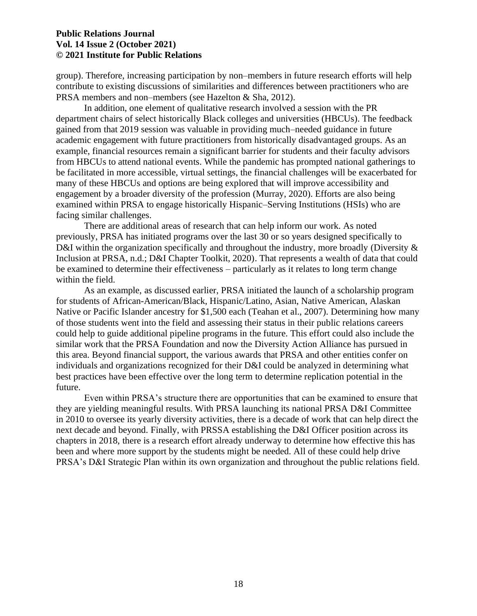group). Therefore, increasing participation by non–members in future research efforts will help contribute to existing discussions of similarities and differences between practitioners who are PRSA members and non–members (see Hazelton & Sha, 2012).

In addition, one element of qualitative research involved a session with the PR department chairs of select historically Black colleges and universities (HBCUs). The feedback gained from that 2019 session was valuable in providing much–needed guidance in future academic engagement with future practitioners from historically disadvantaged groups. As an example, financial resources remain a significant barrier for students and their faculty advisors from HBCUs to attend national events. While the pandemic has prompted national gatherings to be facilitated in more accessible, virtual settings, the financial challenges will be exacerbated for many of these HBCUs and options are being explored that will improve accessibility and engagement by a broader diversity of the profession (Murray, 2020). Efforts are also being examined within PRSA to engage historically Hispanic–Serving Institutions (HSIs) who are facing similar challenges.

There are additional areas of research that can help inform our work. As noted previously, PRSA has initiated programs over the last 30 or so years designed specifically to D&I within the organization specifically and throughout the industry, more broadly (Diversity & Inclusion at PRSA, n.d.; D&I Chapter Toolkit, 2020). That represents a wealth of data that could be examined to determine their effectiveness – particularly as it relates to long term change within the field.

As an example, as discussed earlier, PRSA initiated the launch of a scholarship program for students of African-American/Black, Hispanic/Latino, Asian, Native American, Alaskan Native or Pacific Islander ancestry for \$1,500 each (Teahan et al., 2007). Determining how many of those students went into the field and assessing their status in their public relations careers could help to guide additional pipeline programs in the future. This effort could also include the similar work that the PRSA Foundation and now the Diversity Action Alliance has pursued in this area. Beyond financial support, the various awards that PRSA and other entities confer on individuals and organizations recognized for their D&I could be analyzed in determining what best practices have been effective over the long term to determine replication potential in the future.

Even within PRSA's structure there are opportunities that can be examined to ensure that they are yielding meaningful results. With PRSA launching its national PRSA D&I Committee in 2010 to oversee its yearly diversity activities, there is a decade of work that can help direct the next decade and beyond. Finally, with PRSSA establishing the D&I Officer position across its chapters in 2018, there is a research effort already underway to determine how effective this has been and where more support by the students might be needed. All of these could help drive PRSA's D&I Strategic Plan within its own organization and throughout the public relations field.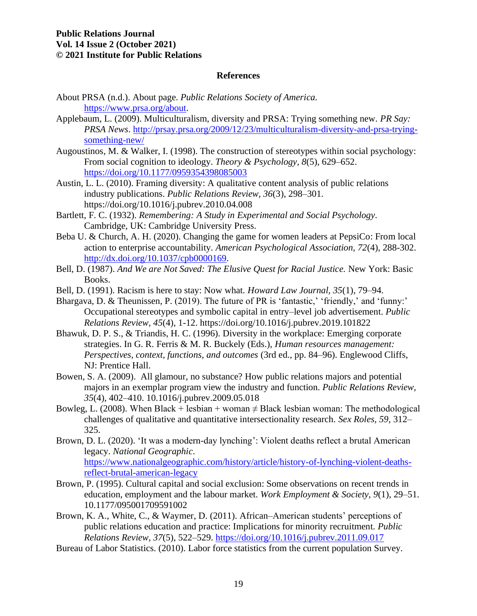#### **References**

- About PRSA (n.d.). About page. *Public Relations Society of America.* [https://www.prsa.org/about.](https://www.prsa.org/about)
- Applebaum, L. (2009). Multiculturalism, diversity and PRSA: Trying something new. *PR Say: PRSA News*. [http://prsay.prsa.org/2009/12/23/multiculturalism-diversity-and-prsa-trying](http://prsay.prsa.org/2009/12/23/multiculturalism-diversity-and-prsa-trying-something-new/)[something-new/](http://prsay.prsa.org/2009/12/23/multiculturalism-diversity-and-prsa-trying-something-new/)
- Augoustinos, M. & Walker, I. (1998). The construction of stereotypes within social psychology: From social cognition to ideology. *Theory & Psychology, 8*(5), 629–652. <https://doi.org/10.1177/0959354398085003>
- Austin, L. L. (2010). Framing diversity: A qualitative content analysis of public relations industry publications. *Public Relations Review, 36*(3), 298–301. <https://doi.org/10.1016/j.pubrev.2010.04.008>
- Bartlett, F. C. (1932). *Remembering: A Study in Experimental and Social Psychology*. Cambridge, UK: Cambridge University Press.
- Beba U. & Church, A. H. (2020). Changing the game for women leaders at PepsiCo: From local action to enterprise accountability. *American Psychological Association, 72*(4), 288-302. [http://dx.doi.org/10.1037/cpb0000169.](http://dx.doi.org/10.1037/cpb0000169)
- Bell, D. (1987). *And We are Not Saved: The Elusive Quest for Racial Justice.* New York: Basic Books.
- Bell, D. (1991). Racism is here to stay: Now what. *Howard Law Journal, 35*(1), 79–94.
- Bhargava, D. & Theunissen, P. (2019). The future of PR is 'fantastic,' 'friendly,' and 'funny:' Occupational stereotypes and symbolic capital in entry–level job advertisement. *Public Relations Review, 45*(4), 1-12.<https://doi.org/10.1016/j.pubrev.2019.101822>
- Bhawuk, D. P. S., & Triandis, H. C. (1996). Diversity in the workplace: Emerging corporate strategies. In G. R. Ferris & M. R. Buckely (Eds.), *Human resources management: Perspectives, context, functions, and outcomes (3rd ed., pp. 84–96). Englewood Cliffs,* NJ: Prentice Hall.
- Bowen, S. A. (2009). All glamour, no substance? How public relations majors and potential majors in an exemplar program view the industry and function. *Public Relations Review, 35*(4), 402–410. 10.1016/j.pubrev.2009.05.018
- Bowleg, L. (2008). When Black + lesbian + woman  $\neq$  Black lesbian woman: The methodological challenges of qualitative and quantitative intersectionality research. *Sex Roles, 59,* 312– 325.
- Brown, D. L. (2020). 'It was a modern-day lynching': Violent deaths reflect a brutal American legacy. *National Geographic*. [https://www.nationalgeographic.com/history/article/history-of-lynching-violent-deaths](https://www.nationalgeographic.com/history/article/history-of-lynching-violent-deaths-reflect-brutal-american-legacy)[reflect-brutal-american-legacy](https://www.nationalgeographic.com/history/article/history-of-lynching-violent-deaths-reflect-brutal-american-legacy)
- Brown, P. (1995). Cultural capital and social exclusion: Some observations on recent trends in education, employment and the labour market. *Work Employment & Society, 9*(1)*,* 29–51. 10.1177/095001709591002
- Brown, K. A., White, C., & Waymer, D. (2011). African–American students' perceptions of public relations education and practice: Implications for minority recruitment. *Public Relations Review, 37*(5), 522–529.<https://doi.org/10.1016/j.pubrev.2011.09.017>
- Bureau of Labor Statistics. (2010). Labor force statistics from the current population Survey.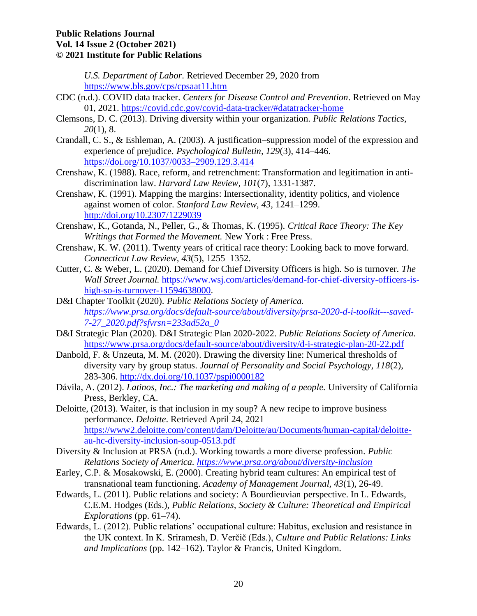*U.S. Department of Labor.* Retrieved December 29, 2020 from <https://www.bls.gov/cps/cpsaat11.htm>

- CDC (n.d.). COVID data tracker. *Centers for Disease Control and Prevention*. Retrieved on May 01, 2021.<https://covid.cdc.gov/covid-data-tracker/#datatracker-home>
- Clemsons, D. C. (2013). Driving diversity within your organization. *Public Relations Tactics, 20*(1), 8.
- Crandall, C. S., & Eshleman, A. (2003). A justification–suppression model of the expression and experience of prejudice. *Psychological Bulletin, 129*(3), 414–446. <https://doi.org/10.1037/0033–2909.129.3.414>
- Crenshaw, K. (1988). Race, reform, and retrenchment: Transformation and legitimation in antidiscrimination law. *Harvard Law Review, 101*(7), 1331-1387.
- Crenshaw, K. (1991). Mapping the margins: Intersectionality, identity politics, and violence against women of color. *Stanford Law Review, 43,* 1241–1299. <http://doi.org/10.2307/1229039>
- Crenshaw, K., Gotanda, N., Peller, G., & Thomas, K. (1995). *Critical Race Theory: The Key Writings that Formed the Movement.* New York : Free Press.
- Crenshaw, K. W. (2011). Twenty years of critical race theory: Looking back to move forward. *Connecticut Law Review, 43*(5), 1255–1352.
- Cutter, C. & Weber, L. (2020). Demand for Chief Diversity Officers is high. So is turnover. *The Wall Street Journal.* [https://www.wsj.com/articles/demand-for-chief-diversity-officers-is](https://www.wsj.com/articles/demand-for-chief-diversity-officers-is-high-so-is-turnover-11594638000)[high-so-is-turnover-11594638000.](https://www.wsj.com/articles/demand-for-chief-diversity-officers-is-high-so-is-turnover-11594638000)
- D&I Chapter Toolkit (2020). *Public Relations Society of America. [https://www.prsa.org/docs/default-source/about/diversity/prsa-2020-d-i-toolkit---saved-](https://www.prsa.org/docs/default-source/about/diversity/prsa-2020-d-i-toolkit---saved-7-27_2020.pdf?sfvrsn=233ad52a_0)[7-27\\_2020.pdf?sfvrsn=233ad52a\\_0](https://www.prsa.org/docs/default-source/about/diversity/prsa-2020-d-i-toolkit---saved-7-27_2020.pdf?sfvrsn=233ad52a_0)*
- D&I Strategic Plan (2020). D&I Strategic Plan 2020-2022. *Public Relations Society of America.* <https://www.prsa.org/docs/default-source/about/diversity/d-i-strategic-plan-20-22.pdf>
- Danbold, F. & Unzeuta, M. M. (2020). Drawing the diversity line: Numerical thresholds of diversity vary by group status. *Journal of Personality and Social Psychology, 118*(2), 283-306.<http://dx.doi.org/10.1037/pspi0000182>
- Dávila, A. (2012). *Latinos, Inc.: The marketing and making of a people.* University of California Press, Berkley, CA.
- Deloitte, (2013). Waiter, is that inclusion in my soup? A new recipe to improve business performance. *Deloitte*. Retrieved April 24, 2021 [https://www2.deloitte.com/content/dam/Deloitte/au/Documents/human-capital/deloitte](https://www2.deloitte.com/content/dam/Deloitte/au/Documents/human-capital/deloitte-au-hc-diversity-inclusion-soup-0513.pdf)[au-hc-diversity-inclusion-soup-0513.pdf](https://www2.deloitte.com/content/dam/Deloitte/au/Documents/human-capital/deloitte-au-hc-diversity-inclusion-soup-0513.pdf)
- Diversity & Inclusion at PRSA (n.d.). Working towards a more diverse profession. *Public Relations Society of America.<https://www.prsa.org/about/diversity-inclusion>*
- Earley, C.P. & Mosakowski, E. (2000). Creating hybrid team cultures: An empirical test of transnational team functioning. *Academy of Management Journal, 43*(1), 26-49.
- Edwards, L. (2011). Public relations and society: A Bourdieuvian perspective. In L. Edwards, C.E.M. Hodges (Eds.), *Public Relations, Society & Culture: Theoretical and Empirical Explorations* (pp. 61–74).
- Edwards, L. (2012). Public relations' occupational culture: Habitus, exclusion and resistance in the UK context. In K. Sriramesh, D. Verčič (Eds.), *Culture and Public Relations: Links and Implications* (pp. 142–162). Taylor & Francis, United Kingdom.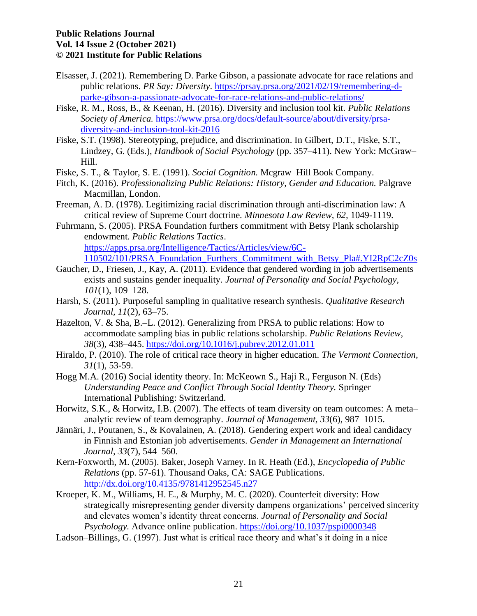- Elsasser, J. (2021). Remembering D. Parke Gibson, a passionate advocate for race relations and public relations. *PR Say: Diversity*. [https://prsay.prsa.org/2021/02/19/remembering-d](https://prsay.prsa.org/2021/02/19/remembering-d-parke-gibson-a-passionate-advocate-for-race-relations-and-public-relations/)[parke-gibson-a-passionate-advocate-for-race-relations-and-public-relations/](https://prsay.prsa.org/2021/02/19/remembering-d-parke-gibson-a-passionate-advocate-for-race-relations-and-public-relations/)
- Fiske, R. M., Ross, B., & Keenan, H. (2016). Diversity and inclusion tool kit. *Public Relations Society of America.* [https://www.prsa.org/docs/default-source/about/diversity/prsa](https://www.prsa.org/docs/default-source/about/diversity/prsa-diversity-and-inclusion-tool-kit-2016)[diversity-and-inclusion-tool-kit-2016](https://www.prsa.org/docs/default-source/about/diversity/prsa-diversity-and-inclusion-tool-kit-2016)
- Fiske, S.T. (1998). Stereotyping, prejudice, and discrimination. In Gilbert, D.T., Fiske, S.T., Lindzey, G. (Eds.), *Handbook of Social Psychology* (pp. 357–411). New York: McGraw– Hill.
- Fiske, S. T., & Taylor, S. E. (1991). *Social Cognition*. Mcgraw–Hill Book Company.
- Fitch, K. (2016). *Professionalizing Public Relations: History, Gender and Education.* Palgrave Macmillan, London.
- Freeman, A. D. (1978). Legitimizing racial discrimination through anti-discrimination law: A critical review of Supreme Court doctrine. *Minnesota Law Review, 62,* 1049-1119.
- Fuhrmann, S. (2005). PRSA Foundation furthers commitment with Betsy Plank scholarship endowment. *Public Relations Tactics*. [https://apps.prsa.org/Intelligence/Tactics/Articles/view/6C-](https://apps.prsa.org/Intelligence/Tactics/Articles/view/6C-110502/101/PRSA_Foundation_Furthers_Commitment_with_Betsy_Pla#.YI2RpC2cZ0s)[110502/101/PRSA\\_Foundation\\_Furthers\\_Commitment\\_with\\_Betsy\\_Pla#.YI2RpC2cZ0s](https://apps.prsa.org/Intelligence/Tactics/Articles/view/6C-110502/101/PRSA_Foundation_Furthers_Commitment_with_Betsy_Pla#.YI2RpC2cZ0s)
- Gaucher, D., Friesen, J., Kay, A. (2011). Evidence that gendered wording in job advertisements exists and sustains gender inequality. *Journal of Personality and Social Psychology, 101*(1), 109–128.
- Harsh, S. (2011). Purposeful sampling in qualitative research synthesis. *Qualitative Research Journal, 11*(2), 63–75.
- Hazelton, V. & Sha, B.–L. (2012). Generalizing from PRSA to public relations: How to accommodate sampling bias in public relations scholarship. *Public Relations Review, 38*(3)*,* 438–445.<https://doi.org/10.1016/j.pubrev.2012.01.011>
- Hiraldo, P. (2010). The role of critical race theory in higher education. *The Vermont Connection, 31*(1), 53-59.
- Hogg M.A. (2016) Social identity theory. In: McKeown S., Haji R., Ferguson N. (Eds) *Understanding Peace and Conflict Through Social Identity Theory.* Springer International Publishing: Switzerland.
- Horwitz, S.K., & Horwitz, I.B. (2007). The effects of team diversity on team outcomes: A meta– analytic review of team demography. *Journal of Management, 33*(6), 987–1015.
- [Jännäri, J., P](https://www.sciencedirect.com/science/article/pii/S036381111830482X#bib0225)outanen, S., & Kovalainen, A. (2018). Gendering expert work and ideal candidacy in Finnish and Estonian job advertisements. *Gender in Management an International Journal, 33*(7), 544–560.
- Kern-Foxworth, M. (2005). Baker, Joseph Varney. In R. Heath (Ed.), *Encyclopedia of Public Relations* (pp. 57-61). Thousand Oaks, CA: SAGE Publications. <http://dx.doi.org/10.4135/9781412952545.n27>
- Kroeper, K. M., Williams, H. E., & Murphy, M. C. (2020). Counterfeit diversity: How strategically misrepresenting gender diversity dampens organizations' perceived sincerity and elevates women's identity threat concerns. *Journal of Personality and Social Psychology.* Advance online publication.<https://doi.org/10.1037/pspi0000348>
- Ladson–Billings, G. (1997). Just what is critical race theory and what's it doing in a nice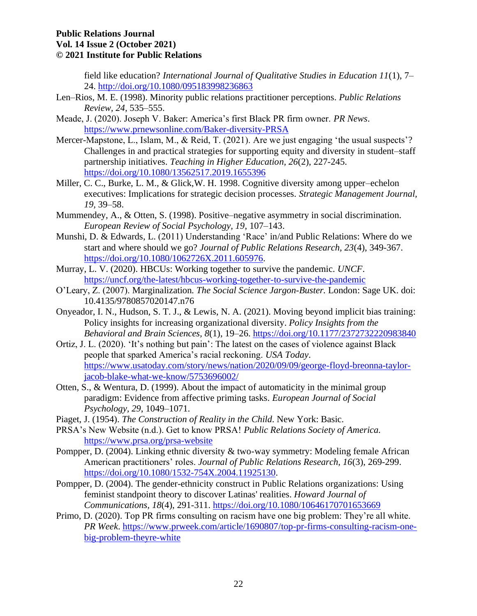field like education? *International Journal of Qualitative Studies in Education 11*(1), 7– 24.<http://doi.org/10.1080/095183998236863>

- Len–Rios, M. E. (1998). Minority public relations practitioner perceptions. *Public Relations Review, 24,* 535–555.
- Meade, J. (2020). Joseph V. Baker: America's first Black PR firm owner. *PR News*. <https://www.prnewsonline.com/Baker-diversity-PRSA>
- Mercer-Mapstone, L., Islam, M., & Reid, T. (2021). Are we just engaging 'the usual suspects'? Challenges in and practical strategies for supporting equity and diversity in student–staff partnership initiatives. *Teaching in Higher Education, 26*(2), 227-245. <https://doi.org/10.1080/13562517.2019.1655396>
- Miller, C. C., Burke, L. M., & Glick,W. H. 1998. Cognitive diversity among upper–echelon executives: Implications for strategic decision processes. *Strategic Management Journal, 19,* 39–58.
- Mummendey, A., & Otten, S. (1998). Positive–negative asymmetry in social discrimination. *European Review of Social Psychology, 19*, 107–143.
- Munshi, D. & Edwards, L. (2011) Understanding 'Race' in/and Public Relations: Where do we start and where should we go? *Journal of Public Relations Research, 23*(4), 349-367. [https://doi.org/10.1080/1062726X.2011.605976.](https://doi.org/10.1080/1062726X.2011.605976)
- Murray, L. V. (2020). HBCUs: Working together to survive the pandemic. *UNCF*. <https://uncf.org/the-latest/hbcus-working-together-to-survive-the-pandemic>
- O'Leary, Z. (2007). Marginalization*. The Social Science Jargon-Buster.* London: Sage UK. doi: 10.4135/9780857020147.n76
- Onyeador, I. N., Hudson, S. T. J., & Lewis, N. A. (2021). Moving beyond implicit bias training: Policy insights for increasing organizational diversity. *Policy Insights from the Behavioral and Brain Sciences, 8*(1), 19–26.<https://doi.org/10.1177/2372732220983840>
- Ortiz, J. L. (2020). 'It's nothing but pain': The latest on the cases of violence against Black people that sparked America's racial reckoning. *USA Today*. [https://www.usatoday.com/story/news/nation/2020/09/09/george-floyd-breonna-taylor](https://www.usatoday.com/story/news/nation/2020/09/09/george-floyd-breonna-taylor-jacob-blake-what-we-know/5753696002/)[jacob-blake-what-we-know/5753696002/](https://www.usatoday.com/story/news/nation/2020/09/09/george-floyd-breonna-taylor-jacob-blake-what-we-know/5753696002/)
- Otten, S., & Wentura, D. (1999). About the impact of automaticity in the minimal group paradigm: Evidence from affective priming tasks. *European Journal of Social Psychology, 29*, 1049–1071.
- Piaget, J. (1954). *The Construction of Reality in the Child*. New York: Basic.
- PRSA's New Website (n.d.). Get to know PRSA! *Public Relations Society of America.*  <https://www.prsa.org/prsa-website>
- Pompper, D. (2004). Linking ethnic diversity & two-way symmetry: Modeling female African American practitioners' roles. *Journal of Public Relations Research, 16*(3), 269-299. [https://doi.org/10.1080/1532-754X.2004.11925130.](https://doi.org/10.1080/1532-754X.2004.11925130)
- Pompper, D. (2004). The gender-ethnicity construct in Public Relations organizations: Using feminist standpoint theory to discover Latinas' realities. *Howard Journal of Communications, 18*(4), 291-311. <https://doi.org/10.1080/10646170701653669>
- Primo, D. (2020). Top PR firms consulting on racism have one big problem: They're all white. *PR Week*. [https://www.prweek.com/article/1690807/top-pr-firms-consulting-racism-one](https://www.prweek.com/article/1690807/top-pr-firms-consulting-racism-one-big-problem-theyre-white)[big-problem-theyre-white](https://www.prweek.com/article/1690807/top-pr-firms-consulting-racism-one-big-problem-theyre-white)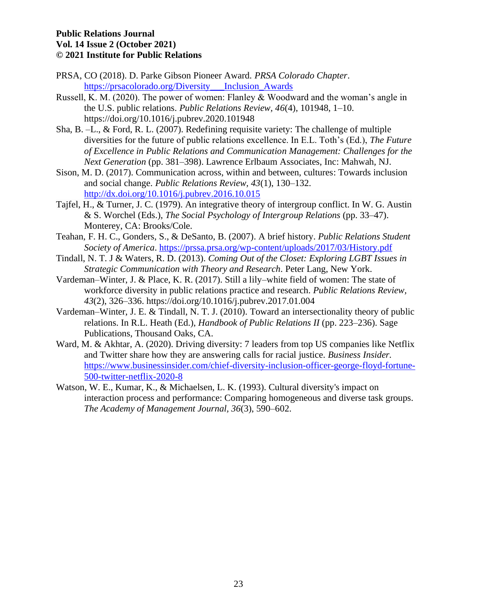- PRSA, CO (2018). D. Parke Gibson Pioneer Award. *PRSA Colorado Chapter*. [https://prsacolorado.org/Diversity\\_\\_\\_Inclusion\\_Awards](https://prsacolorado.org/Diversity___Inclusion_Awards)
- Russell, K. M. (2020). The power of women: Flanley & Woodward and the woman's angle in the U.S. public relations. *Public Relations Review, 46*(4), 101948, 1–10. <https://doi.org/10.1016/j.pubrev.2020.101948>
- Sha, B. –L., & Ford, R. L. (2007). Redefining requisite variety: The challenge of multiple diversities for the future of public relations excellence. In E.L. Toth's (Ed.), *The Future of Excellence in Public Relations and Communication Management: Challenges for the Next Generation* (pp. 381–398). Lawrence Erlbaum Associates, Inc: Mahwah, NJ.
- Sison, M. D. (2017). Communication across, within and between, cultures: Towards inclusion and social change. *Public Relations Review, 43*(1), 130–132. <http://dx.doi.org/10.1016/j.pubrev.2016.10.015>
- Tajfel, H., & Turner, J. C. (1979). An integrative theory of intergroup conflict. In W. G. Austin & S. Worchel (Eds.), *The Social Psychology of Intergroup Relations* (pp. 33–47). Monterey, CA: Brooks/Cole.
- Teahan, F. H. C., Gonders, S., & DeSanto, B. (2007). A brief history. *Public Relations Student Society of America*.<https://prssa.prsa.org/wp-content/uploads/2017/03/History.pdf>
- Tindall, N. T. J & Waters, R. D. (2013). *Coming Out of the Closet: Exploring LGBT Issues in Strategic Communication with Theory and Research*. Peter Lang, New York.
- Vardeman–Winter, J. & Place, K. R. (2017). Still a lily–white field of women: The state of workforce diversity in public relations practice and research. *Public Relations Review, 43*(2), 326–336. [https://doi.org/10.1016/j.pubrev.2017.01.004](https://doi-org.libproxy.temple.edu/10.1016/j.pubrev.2017.01.004)
- Vardeman–Winter, J. E. & Tindall, N. T. J. (2010). Toward an intersectionality theory of public relations. In R.L. Heath (Ed.), *Handbook of Public Relations II* (pp. 223–236). Sage Publications, Thousand Oaks, CA.
- Ward, M. & Akhtar, A. (2020). Driving diversity: 7 leaders from top US companies like Netflix and Twitter share how they are answering calls for racial justice. *Business Insider.*  [https://www.businessinsider.com/chief-diversity-inclusion-officer-george-floyd-fortune-](https://www.businessinsider.com/chief-diversity-inclusion-officer-george-floyd-fortune-500-twitter-netflix-2020-8)[500-twitter-netflix-2020-8](https://www.businessinsider.com/chief-diversity-inclusion-officer-george-floyd-fortune-500-twitter-netflix-2020-8)
- Watson, W. E., Kumar, K., & Michaelsen, L. K. (1993). Cultural diversity's impact on interaction process and performance: Comparing homogeneous and diverse task groups. *The Academy of Management Journal, 36*(3), 590–602.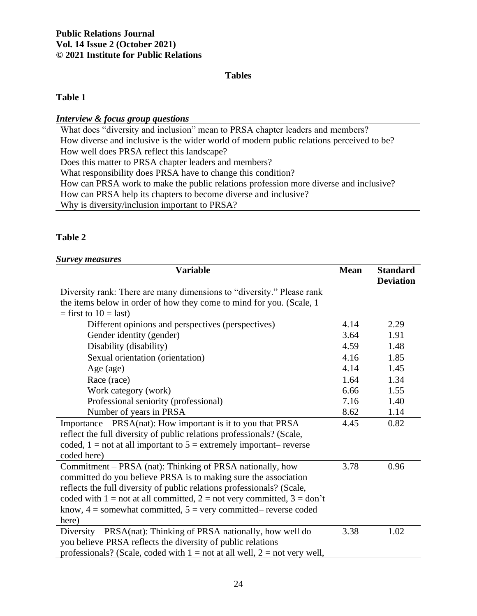### **Tables**

### **Table 1**

### *Interview & focus group questions*

What does "diversity and inclusion" mean to PRSA chapter leaders and members? How diverse and inclusive is the wider world of modern public relations perceived to be? How well does PRSA reflect this landscape? Does this matter to PRSA chapter leaders and members? What responsibility does PRSA have to change this condition? How can PRSA work to make the public relations profession more diverse and inclusive? How can PRSA help its chapters to become diverse and inclusive? Why is diversity/inclusion important to PRSA?

## **Table 2**

## *Survey measures*

| <b>Variable</b>                                                               | <b>Mean</b> | <b>Standard</b><br><b>Deviation</b> |
|-------------------------------------------------------------------------------|-------------|-------------------------------------|
| Diversity rank: There are many dimensions to "diversity." Please rank         |             |                                     |
| the items below in order of how they come to mind for you. (Scale, 1)         |             |                                     |
| $=$ first to 10 $=$ last)                                                     |             |                                     |
| Different opinions and perspectives (perspectives)                            | 4.14        | 2.29                                |
| Gender identity (gender)                                                      | 3.64        | 1.91                                |
| Disability (disability)                                                       | 4.59        | 1.48                                |
| Sexual orientation (orientation)                                              | 4.16        | 1.85                                |
| Age (age)                                                                     | 4.14        | 1.45                                |
| Race (race)                                                                   | 1.64        | 1.34                                |
| Work category (work)                                                          | 6.66        | 1.55                                |
| Professional seniority (professional)                                         | 7.16        | 1.40                                |
| Number of years in PRSA                                                       | 8.62        | 1.14                                |
| Importance - PRSA(nat): How important is it to you that PRSA                  | 4.45        | 0.82                                |
| reflect the full diversity of public relations professionals? (Scale,         |             |                                     |
| coded, $1 = not$ at all important to $5 =$ extremely important-reverse        |             |                                     |
| coded here)                                                                   |             |                                     |
| Commitment – PRSA (nat): Thinking of PRSA nationally, how                     | 3.78        | 0.96                                |
| committed do you believe PRSA is to making sure the association               |             |                                     |
| reflects the full diversity of public relations professionals? (Scale,        |             |                                     |
| coded with $1 =$ not at all committed, $2 =$ not very committed, $3 =$ don't  |             |                                     |
| know, $4 =$ somewhat committed, $5 =$ very committed– reverse coded           |             |                                     |
| here)                                                                         |             |                                     |
| Diversity – PRSA(nat): Thinking of PRSA nationally, how well do               | 3.38        | 1.02                                |
| you believe PRSA reflects the diversity of public relations                   |             |                                     |
| professionals? (Scale, coded with $1 = not$ at all well, $2 = not$ very well, |             |                                     |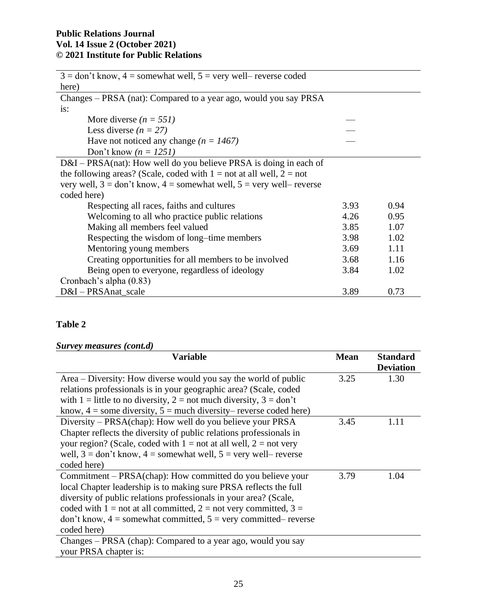| $3 =$ don't know, $4 =$ somewhat well, $5 =$ very well-reverse coded                        |      |      |
|---------------------------------------------------------------------------------------------|------|------|
| here)                                                                                       |      |      |
| Changes – PRSA (nat): Compared to a year ago, would you say PRSA                            |      |      |
| is:                                                                                         |      |      |
| More diverse $(n = 551)$                                                                    |      |      |
| Less diverse $(n = 27)$                                                                     |      |      |
| Have not noticed any change ( $n = 1467$ )                                                  |      |      |
| Don't know $(n = 1251)$                                                                     |      |      |
| $D&I - PRSA(nat)$ : How well do you believe PRSA is doing in each of                        |      |      |
| the following areas? (Scale, coded with $1 =$ not at all well, $2 =$ not                    |      |      |
| very well, $3 = \text{don't know}, 4 = \text{somewhat well}, 5 = \text{very well– reverse}$ |      |      |
| coded here)                                                                                 |      |      |
| Respecting all races, faiths and cultures                                                   | 3.93 | 0.94 |
| Welcoming to all who practice public relations                                              | 4.26 | 0.95 |
| Making all members feel valued                                                              | 3.85 | 1.07 |
| Respecting the wisdom of long-time members                                                  | 3.98 | 1.02 |
| Mentoring young members                                                                     | 3.69 | 1.11 |
| Creating opportunities for all members to be involved                                       | 3.68 | 1.16 |
| Being open to everyone, regardless of ideology                                              | 3.84 | 1.02 |
| Cronbach's alpha (0.83)                                                                     |      |      |
| D&I - PRSAnat_scale                                                                         | 3.89 | 0.73 |

## **Table 2**

## *Survey measures (cont.d)*

| <b>Variable</b>                                                                        | <b>Mean</b> | <b>Standard</b><br><b>Deviation</b> |
|----------------------------------------------------------------------------------------|-------------|-------------------------------------|
| Area – Diversity: How diverse would you say the world of public                        | 3.25        | 1.30                                |
| relations professionals is in your geographic area? (Scale, coded                      |             |                                     |
| with 1 = little to no diversity, 2 = not much diversity, $3 = don't$                   |             |                                     |
| know, $4 =$ some diversity, $5 =$ much diversity– reverse coded here)                  |             |                                     |
| Diversity – PRSA(chap): How well do you believe your PRSA                              | 3.45        | 1.11                                |
| Chapter reflects the diversity of public relations professionals in                    |             |                                     |
| your region? (Scale, coded with $1 = not$ at all well, $2 = not$ very                  |             |                                     |
| well, $3 = \text{don't know}, 4 = \text{somewhat well}, 5 = \text{very well– reverse}$ |             |                                     |
| coded here)                                                                            |             |                                     |
| Commitment – PRSA(chap): How committed do you believe your                             | 3.79        | 1.04                                |
| local Chapter leadership is to making sure PRSA reflects the full                      |             |                                     |
| diversity of public relations professionals in your area? (Scale,                      |             |                                     |
| coded with 1 = not at all committed, 2 = not very committed, 3 =                       |             |                                     |
| don't know, $4 =$ somewhat committed, $5 =$ very committed– reverse                    |             |                                     |
| coded here)                                                                            |             |                                     |
| Changes – PRSA (chap): Compared to a year ago, would you say                           |             |                                     |
| your PRSA chapter is:                                                                  |             |                                     |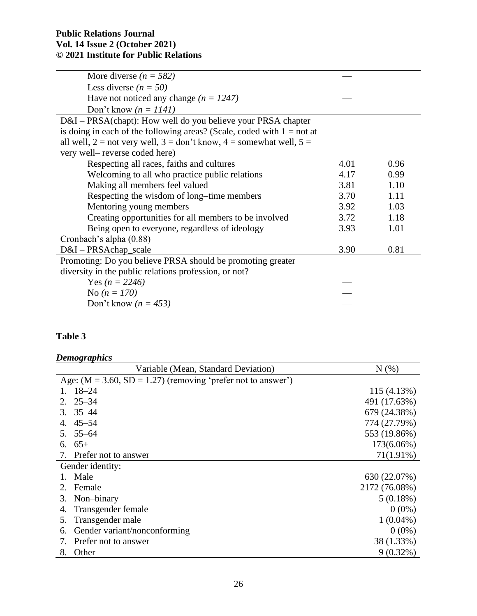| More diverse ( $n = 582$ )                                                  |      |      |
|-----------------------------------------------------------------------------|------|------|
| Less diverse $(n = 50)$                                                     |      |      |
| Have not noticed any change $(n = 1247)$                                    |      |      |
| Don't know $(n = 1141)$                                                     |      |      |
| D&I – PRSA(chapt): How well do you believe your PRSA chapter                |      |      |
| is doing in each of the following areas? (Scale, coded with $1 = not$ at    |      |      |
| all well, $2 = not$ very well, $3 = don't$ know, $4 =$ somewhat well, $5 =$ |      |      |
| very well-reverse coded here)                                               |      |      |
| Respecting all races, faiths and cultures                                   | 4.01 | 0.96 |
| Welcoming to all who practice public relations                              | 4.17 | 0.99 |
| Making all members feel valued                                              | 3.81 | 1.10 |
| Respecting the wisdom of long-time members                                  | 3.70 | 1.11 |
| Mentoring young members                                                     | 3.92 | 1.03 |
| Creating opportunities for all members to be involved                       | 3.72 | 1.18 |
| Being open to everyone, regardless of ideology                              | 3.93 | 1.01 |
| Cronbach's alpha (0.88)                                                     |      |      |
| D&I-PRSAchap_scale                                                          | 3.90 | 0.81 |
| Promoting: Do you believe PRSA should be promoting greater                  |      |      |
| diversity in the public relations profession, or not?                       |      |      |
| Yes ( $n = 2246$ )                                                          |      |      |
| No $(n = 170)$                                                              |      |      |
| Don't know ( $n = 453$ )                                                    |      |      |

## **Table 3**

# *Demographics*

| Variable (Mean, Standard Deviation)                            | N(% )         |
|----------------------------------------------------------------|---------------|
| Age: $(M = 3.60, SD = 1.27)$ (removing 'prefer not to answer') |               |
| $18 - 24$                                                      | 115(4.13%)    |
| $2.25 - 34$                                                    | 491 (17.63%)  |
| $3.35 - 44$                                                    | 679 (24.38%)  |
| 4. $45 - 54$                                                   | 774 (27.79%)  |
| $5.55 - 64$                                                    | 553 (19.86%)  |
| 6. $65+$                                                       | 173(6.06%)    |
| 7. Prefer not to answer                                        | $71(1.91\%)$  |
| Gender identity:                                               |               |
| 1. Male                                                        | 630 (22.07%)  |
| 2. Female                                                      | 2172 (76.08%) |
| Non-binary<br>3.                                               | $5(0.18\%)$   |
| Transgender female<br>4.                                       | $0(0\%)$      |
| Transgender male<br>5.                                         | $1(0.04\%)$   |
| Gender variant/nonconforming<br>6.                             | $0(0\%)$      |
| Prefer not to answer<br>7.                                     | 38 (1.33%)    |
| Other<br>8.                                                    | $9(0.32\%)$   |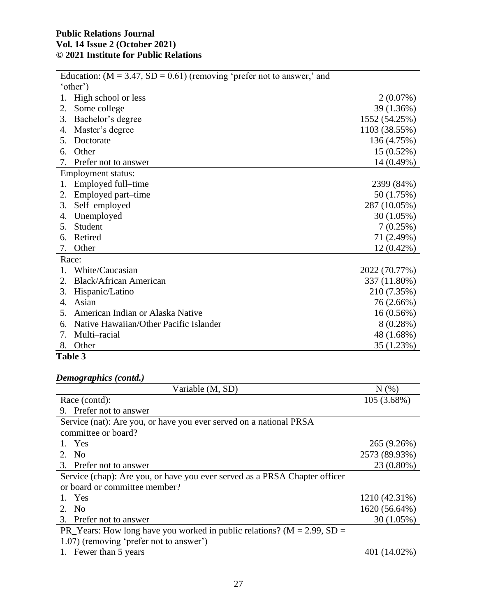|                | Education: $(M = 3.47, SD = 0.61)$ (removing 'prefer not to answer,' and |               |
|----------------|--------------------------------------------------------------------------|---------------|
|                | 'other')                                                                 |               |
|                | High school or less                                                      | $2(0.07\%)$   |
| 2.             | Some college                                                             | 39 (1.36%)    |
| 3.             | Bachelor's degree                                                        | 1552 (54.25%) |
| 4.             | Master's degree                                                          | 1103 (38.55%) |
| 5.             | Doctorate                                                                | 136 (4.75%)   |
| 6.             | Other                                                                    | $15(0.52\%)$  |
| 7.             | Prefer not to answer                                                     | 14 (0.49%)    |
|                | <b>Employment status:</b>                                                |               |
| 1.             | Employed full–time                                                       | 2399 (84%)    |
| 2.             | Employed part-time                                                       | 50 (1.75%)    |
| 3.             | Self-employed                                                            | 287 (10.05%)  |
| 4.             | Unemployed                                                               | 30(1.05%)     |
| 5.             | Student                                                                  | 7(0.25%)      |
| 6.             | Retired                                                                  | 71 $(2.49%)$  |
| 7.             | Other                                                                    | 12 (0.42%)    |
|                | Race:                                                                    |               |
| $\mathbf{1}$ . | White/Caucasian                                                          | 2022 (70.77%) |
| 2.             | <b>Black/African American</b>                                            | 337 (11.80%)  |
| 3.             | Hispanic/Latino                                                          | 210 (7.35%)   |
| 4.             | Asian                                                                    | 76 (2.66%)    |
| 5.             | American Indian or Alaska Native                                         | 16(0.56%)     |
| 6.             | Native Hawaiian/Other Pacific Islander                                   | 8(0.28%)      |
| 7.             | Multi-racial                                                             | 48 (1.68%)    |
| 8.             | Other                                                                    | 35 (1.23%)    |

#### **Table 3**

## *Demographics (contd.)*

| Variable (M, SD)                                                            | N(%           |
|-----------------------------------------------------------------------------|---------------|
| Race (contd):                                                               | $105(3.68\%)$ |
| 9. Prefer not to answer                                                     |               |
| Service (nat): Are you, or have you ever served on a national PRSA          |               |
| committee or board?                                                         |               |
| 1. Yes                                                                      | 265 (9.26%)   |
| 2. No                                                                       | 2573 (89.93%) |
| 3. Prefer not to answer                                                     | 23 (0.80%)    |
| Service (chap): Are you, or have you ever served as a PRSA Chapter officer  |               |
| or board or committee member?                                               |               |
| 1. Yes                                                                      | 1210 (42.31%) |
| 2. No                                                                       | 1620 (56.64%) |
| 3. Prefer not to answer                                                     | $30(1.05\%)$  |
| PR_Years: How long have you worked in public relations? ( $M = 2.99$ , SD = |               |
| 1.07) (removing 'prefer not to answer')                                     |               |
| 1. Fewer than 5 years                                                       | 401 (14.02%)  |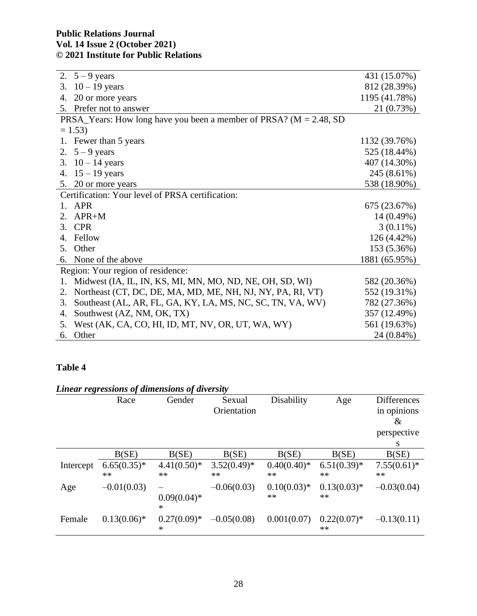| 2. $5 - 9$ years                                                       | 431 (15.07%)  |
|------------------------------------------------------------------------|---------------|
| $10 - 19$ years<br>3.                                                  | 812 (28.39%)  |
| 20 or more years<br>4.                                                 | 1195 (41.78%) |
| 5. Prefer not to answer                                                | 21 (0.73%)    |
| PRSA_Years: How long have you been a member of PRSA? ( $M = 2.48$ , SD |               |
| $= 1.53$                                                               |               |
| 1. Fewer than 5 years                                                  | 1132 (39.76%) |
| 2. $5 - 9$ years                                                       | 525 (18.44%)  |
| 3. $10 - 14$ years                                                     | 407 (14.30%)  |
| 4. $15 - 19$ years                                                     | 245 (8.61%)   |
| 5. 20 or more years                                                    | 538 (18.90%)  |
| Certification: Your level of PRSA certification:                       |               |
| 1. APR                                                                 | 675 (23.67%)  |
| $APR+M$<br>2.                                                          | $14(0.49\%)$  |
| 3. CPR                                                                 | $3(0.11\%)$   |
| Fellow<br>4.                                                           | 126 (4.42%)   |
| 5. Other                                                               | 153 (5.36%)   |
| None of the above<br>6.                                                | 1881 (65.95%) |
| Region: Your region of residence:                                      |               |
| Midwest (IA, IL, IN, KS, MI, MN, MO, ND, NE, OH, SD, WI)<br>1.         | 582 (20.36%)  |
| Northeast (CT, DC, DE, MA, MD, ME, NH, NJ, NY, PA, RI, VT)<br>2.       | 552 (19.31%)  |
| Southeast (AL, AR, FL, GA, KY, LA, MS, NC, SC, TN, VA, WV)<br>3.       | 782 (27.36%)  |
| Southwest (AZ, NM, OK, TX)<br>4.                                       | 357 (12.49%)  |
| West (AK, CA, CO, HI, ID, MT, NV, OR, UT, WA, WY)<br>5.                | 561 (19.63%)  |
| Other<br>6.                                                            | 24 (0.84%)    |

## **Table 4**

|           | Linear regressions of dimensions of diversity |                          |                       |                     |                       |                                   |  |
|-----------|-----------------------------------------------|--------------------------|-----------------------|---------------------|-----------------------|-----------------------------------|--|
|           | Race                                          | Gender                   | Sexual<br>Orientation | Disability          | Age                   | <b>Differences</b><br>in opinions |  |
|           |                                               |                          |                       |                     |                       | &                                 |  |
|           |                                               |                          |                       |                     |                       | perspective                       |  |
|           |                                               |                          |                       |                     |                       | S                                 |  |
|           | B(SE)                                         | B(SE)                    | B(SE)                 | B(SE)               | B(SE)                 | B(SE)                             |  |
| Intercept | $6.65(0.35)*$<br>$**$                         | $4.41(0.50)*$<br>$**$    | $3.52(0.49)$ *<br>**  | $0.40(0.40)*$<br>** | $6.51(0.39)$ *<br>**  | $7.55(0.61)^*$<br>**              |  |
| Age       | $-0.01(0.03)$                                 | $0.09(0.04)$ *<br>$\ast$ | $-0.06(0.03)$         | $0.10(0.03)*$<br>** | $0.13(0.03)*$<br>$**$ | $-0.03(0.04)$                     |  |
| Female    | $0.13(0.06)*$                                 | $0.27(0.09)*$<br>$\ast$  | $-0.05(0.08)$         | 0.001(0.07)         | $0.22(0.07)^*$<br>**  | $-0.13(0.11)$                     |  |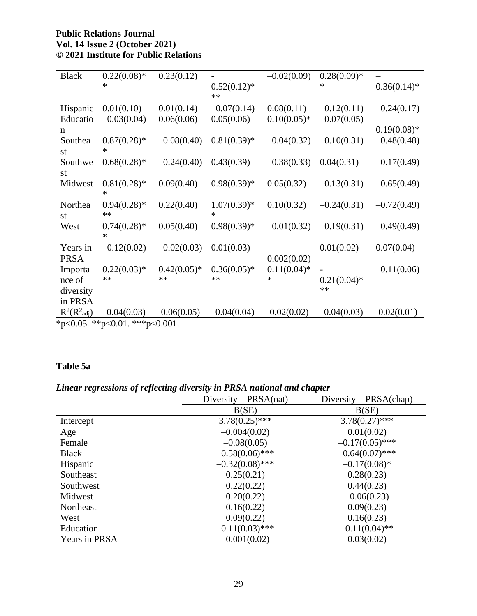| <b>Black</b>                   | $0.22(0.08)*$            | 0.23(0.12)    |                      | $-0.02(0.09)$  | $0.28(0.09)*$  |                |
|--------------------------------|--------------------------|---------------|----------------------|----------------|----------------|----------------|
|                                | $\ast$                   |               | $0.52(0.12)^*$<br>** |                | *              | $0.36(0.14)$ * |
| Hispanic                       | 0.01(0.10)               | 0.01(0.14)    | $-0.07(0.14)$        | 0.08(0.11)     | $-0.12(0.11)$  | $-0.24(0.17)$  |
| Educatio                       | $-0.03(0.04)$            | 0.06(0.06)    | 0.05(0.06)           | $0.10(0.05)*$  | $-0.07(0.05)$  |                |
| n                              |                          |               |                      |                |                | $0.19(0.08)*$  |
| Southea                        | $0.87(0.28)$ *<br>$\ast$ | $-0.08(0.40)$ | $0.81(0.39)$ *       | $-0.04(0.32)$  | $-0.10(0.31)$  | $-0.48(0.48)$  |
| st<br>Southwe                  | $0.68(0.28)$ *           | $-0.24(0.40)$ | 0.43(0.39)           | $-0.38(0.33)$  | 0.04(0.31)     | $-0.17(0.49)$  |
| st                             |                          |               |                      |                |                |                |
| Midwest                        | $0.81(0.28)$ *<br>*      | 0.09(0.40)    | $0.98(0.39)*$        | 0.05(0.32)     | $-0.13(0.31)$  | $-0.65(0.49)$  |
| Northea<br>st                  | $0.94(0.28)$ *<br>**     | 0.22(0.40)    | $1.07(0.39)*$<br>*   | 0.10(0.32)     | $-0.24(0.31)$  | $-0.72(0.49)$  |
| West                           | $0.74(0.28)*$<br>$\ast$  | 0.05(0.40)    | $0.98(0.39)*$        | $-0.01(0.32)$  | $-0.19(0.31)$  | $-0.49(0.49)$  |
| Years in                       | $-0.12(0.02)$            | $-0.02(0.03)$ | 0.01(0.03)           |                | 0.01(0.02)     | 0.07(0.04)     |
| <b>PRSA</b>                    |                          |               |                      | 0.002(0.02)    |                |                |
| Importa                        | $0.22(0.03)*$            | $0.42(0.05)*$ | $0.36(0.05)*$        | $0.11(0.04)$ * |                | $-0.11(0.06)$  |
| nce of                         | $**$                     | $**$          | **                   | *              | $0.21(0.04)$ * |                |
| diversity                      |                          |               |                      |                | $**$           |                |
| in PRSA                        |                          |               |                      |                |                |                |
| $R^2(R^2_{\text{adj}})$        | 0.04(0.03)               | 0.06(0.05)    | 0.04(0.04)           | 0.02(0.02)     | 0.04(0.03)     | 0.02(0.01)     |
| *p<0.05. **p<0.01. ***p<0.001. |                          |               |                      |                |                |                |

## **Table 5a**

# *Linear regressions of reflecting diversity in PRSA national and chapter*

|               | Diversity – $PRSA(nat)$ | Diversity – $PRSA(chap)$ |
|---------------|-------------------------|--------------------------|
|               | B(SE)                   | B(SE)                    |
| Intercept     | $3.78(0.25)$ ***        | $3.78(0.27)$ ***         |
| Age           | $-0.004(0.02)$          | 0.01(0.02)               |
| Female        | $-0.08(0.05)$           | $-0.17(0.05)$ ***        |
| <b>Black</b>  | $-0.58(0.06)$ ***       | $-0.64(0.07)$ ***        |
| Hispanic      | $-0.32(0.08)$ ***       | $-0.17(0.08)$ *          |
| Southeast     | 0.25(0.21)              | 0.28(0.23)               |
| Southwest     | 0.22(0.22)              | 0.44(0.23)               |
| Midwest       | 0.20(0.22)              | $-0.06(0.23)$            |
| Northeast     | 0.16(0.22)              | 0.09(0.23)               |
| West          | 0.09(0.22)              | 0.16(0.23)               |
| Education     | $-0.11(0.03)$ ***       | $-0.11(0.04)$ **         |
| Years in PRSA | $-0.001(0.02)$          | 0.03(0.02)               |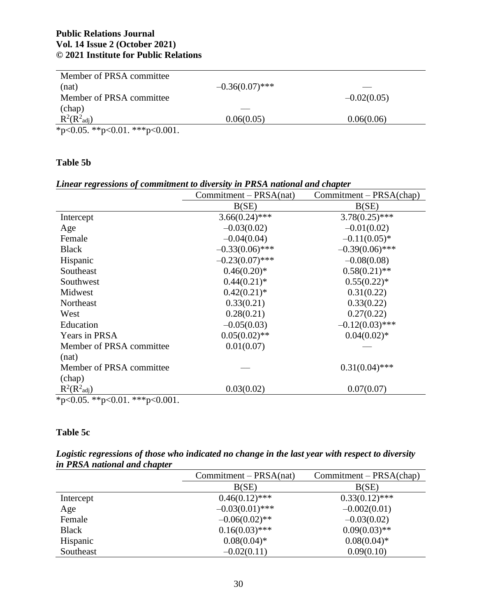| Member of PRSA committee       |                   |               |
|--------------------------------|-------------------|---------------|
| (nat)                          | $-0.36(0.07)$ *** |               |
| Member of PRSA committee       |                   | $-0.02(0.05)$ |
| (chap)                         |                   |               |
| $R^2(R^2_{\text{adj}})$        | 0.06(0.05)        | 0.06(0.06)    |
| *p<0.05. **p<0.01. ***p<0.001. |                   |               |

## **Table 5b**

### *Linear regressions of commitment to diversity in PRSA national and chapter*

|                                | $Commitment - PRSA(nat)$ | $Committment - PRSA(chap)$ |  |
|--------------------------------|--------------------------|----------------------------|--|
|                                | B(SE)                    | B(SE)                      |  |
| Intercept                      | $3.66(0.24)$ ***         | $3.78(0.25)$ ***           |  |
| Age                            | $-0.03(0.02)$            | $-0.01(0.02)$              |  |
| Female                         | $-0.04(0.04)$            | $-0.11(0.05)$ *            |  |
| <b>Black</b>                   | $-0.33(0.06)$ ***        | $-0.39(0.06)$ ***          |  |
| Hispanic                       | $-0.23(0.07)$ ***        | $-0.08(0.08)$              |  |
| Southeast                      | $0.46(0.20)*$            | $0.58(0.21)$ **            |  |
| Southwest                      | $0.44(0.21)$ *           | $0.55(0.22)$ *             |  |
| Midwest                        | $0.42(0.21)$ *           | 0.31(0.22)                 |  |
| Northeast                      | 0.33(0.21)               | 0.33(0.22)                 |  |
| West                           | 0.28(0.21)               | 0.27(0.22)                 |  |
| Education                      | $-0.05(0.03)$            | $-0.12(0.03)$ ***          |  |
| Years in PRSA                  | $0.05(0.02)$ **          | $0.04(0.02)*$              |  |
| Member of PRSA committee       | 0.01(0.07)               |                            |  |
| (nat)                          |                          |                            |  |
| Member of PRSA committee       |                          | $0.31(0.04)$ ***           |  |
| (chap)                         |                          |                            |  |
| $R^2(R^2_{\text{adj}})$        | 0.03(0.02)               | 0.07(0.07)                 |  |
| *p<0.05. **p<0.01. ***p<0.001. |                          |                            |  |

## **Table 5c**

| Logistic regressions of those who indicated no change in the last year with respect to diversity |  |  |  |  |
|--------------------------------------------------------------------------------------------------|--|--|--|--|
| in PRSA national and chapter                                                                     |  |  |  |  |

|              | $Commitment - PRSA(nat)$ | $Commitment - PRSA(chap)$ |
|--------------|--------------------------|---------------------------|
|              | B(SE)                    | B(SE)                     |
| Intercept    | $0.46(0.12)$ ***         | $0.33(0.12)$ ***          |
| Age          | $-0.03(0.01)$ ***        | $-0.002(0.01)$            |
| Female       | $-0.06(0.02)$ **         | $-0.03(0.02)$             |
| <b>Black</b> | $0.16(0.03)$ ***         | $0.09(0.03)$ **           |
| Hispanic     | $0.08(0.04)*$            | $0.08(0.04)$ *            |
| Southeast    | $-0.02(0.11)$            | 0.09(0.10)                |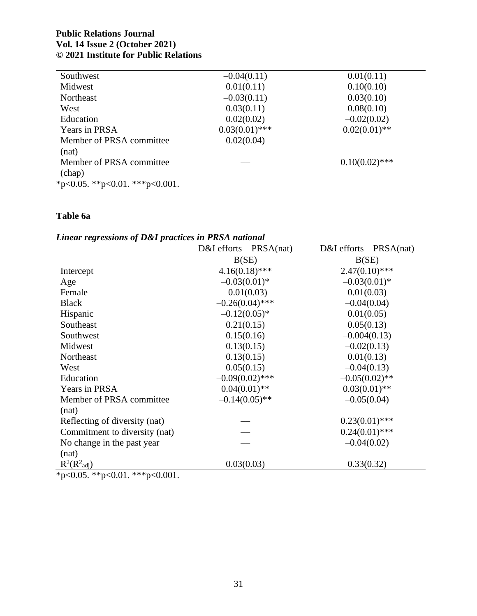| Southwest                | $-0.04(0.11)$    | 0.01(0.11)       |
|--------------------------|------------------|------------------|
| Midwest                  | 0.01(0.11)       | 0.10(0.10)       |
| Northeast                | $-0.03(0.11)$    | 0.03(0.10)       |
| West                     | 0.03(0.11)       | 0.08(0.10)       |
| Education                | 0.02(0.02)       | $-0.02(0.02)$    |
| Years in PRSA            | $0.03(0.01)$ *** | $0.02(0.01)$ **  |
| Member of PRSA committee | 0.02(0.04)       |                  |
| (nat)                    |                  |                  |
| Member of PRSA committee |                  | $0.10(0.02)$ *** |
| (chap)                   |                  |                  |

## **Table 6a**

## *Linear regressions of D&I practices in PRSA national*

|                                | $D&I$ efforts – PRSA(nat) | $D&I$ efforts – PRSA(nat) |
|--------------------------------|---------------------------|---------------------------|
|                                | B(SE)                     | B(SE)                     |
| Intercept                      | $4.16(0.18)$ ***          | $2.47(0.10)$ ***          |
| Age                            | $-0.03(0.01)$ *           | $-0.03(0.01)$ *           |
| Female                         | $-0.01(0.03)$             | 0.01(0.03)                |
| <b>Black</b>                   | $-0.26(0.04)$ ***         | $-0.04(0.04)$             |
| Hispanic                       | $-0.12(0.05)^*$           | 0.01(0.05)                |
| Southeast                      | 0.21(0.15)                | 0.05(0.13)                |
| Southwest                      | 0.15(0.16)                | $-0.004(0.13)$            |
| Midwest                        | 0.13(0.15)                | $-0.02(0.13)$             |
| Northeast                      | 0.13(0.15)                | 0.01(0.13)                |
| West                           | 0.05(0.15)                | $-0.04(0.13)$             |
| Education                      | $-0.09(0.02)$ ***         | $-0.05(0.02)$ **          |
| Years in PRSA                  | $0.04(0.01)$ **           | $0.03(0.01)$ **           |
| Member of PRSA committee       | $-0.14(0.05)$ **          | $-0.05(0.04)$             |
| (nat)                          |                           |                           |
| Reflecting of diversity (nat)  |                           | $0.23(0.01)$ ***          |
| Commitment to diversity (nat)  |                           | $0.24(0.01)$ ***          |
| No change in the past year     |                           | $-0.04(0.02)$             |
| (nat)                          |                           |                           |
| $R^2(R^2_{\text{adj}})$        | 0.03(0.03)                | 0.33(0.32)                |
| *p<0.05. **p<0.01. ***p<0.001. |                           |                           |